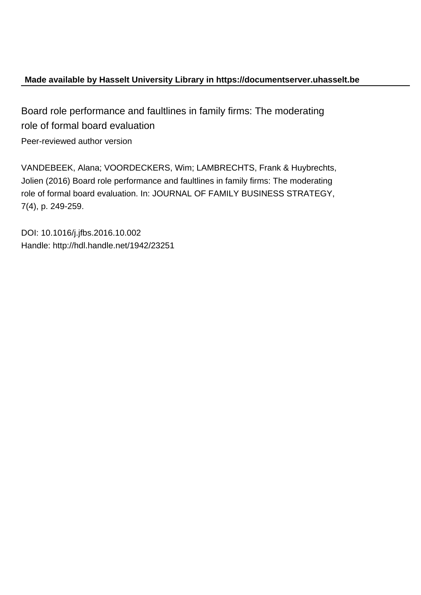# **Made available by Hasselt University Library in https://documentserver.uhasselt.be**

Board role performance and faultlines in family firms: The moderating role of formal board evaluation Peer-reviewed author version

VANDEBEEK, Alana; VOORDECKERS, Wim; LAMBRECHTS, Frank & Huybrechts, Jolien (2016) Board role performance and faultlines in family firms: The moderating role of formal board evaluation. In: JOURNAL OF FAMILY BUSINESS STRATEGY, 7(4), p. 249-259.

DOI: 10.1016/j.jfbs.2016.10.002 Handle: http://hdl.handle.net/1942/23251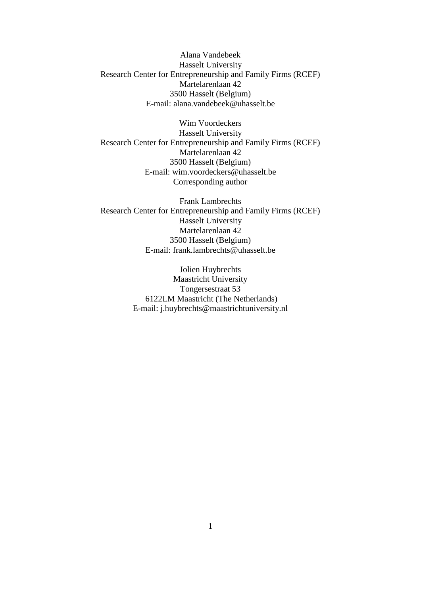Alana Vandebeek Hasselt University Research Center for Entrepreneurship and Family Firms (RCEF) Martelarenlaan 42 3500 Hasselt (Belgium) E-mail: [alana.vandebeek@uhasselt.be](mailto:alana.vandebeek@uhasselt.be)

Wim Voordeckers Hasselt University Research Center for Entrepreneurship and Family Firms (RCEF) Martelarenlaan 42 3500 Hasselt (Belgium) E-mail: [wim.voordeckers@uhasselt.be](mailto:wim.voordeckers@uhasselt.be) Corresponding author

Frank Lambrechts Research Center for Entrepreneurship and Family Firms (RCEF) Hasselt University Martelarenlaan 42 3500 Hasselt (Belgium) E-mail: [frank.lambrechts@uhasselt.be](mailto:frank.lambrechts@uhasselt.be)

> Jolien Huybrechts Maastricht University Tongersestraat 53 6122LM Maastricht (The Netherlands) E-mail: [j.huybrechts@maastrichtuniversity.nl](mailto:j.huybrechts@maastrichtuniversity.nl)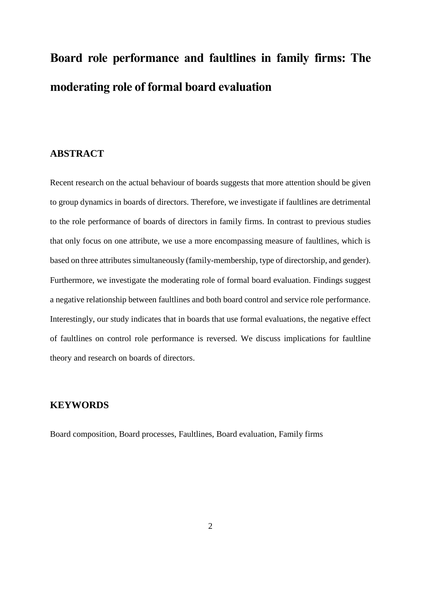# **Board role performance and faultlines in family firms: The moderating role of formal board evaluation**

# **ABSTRACT**

Recent research on the actual behaviour of boards suggests that more attention should be given to group dynamics in boards of directors. Therefore, we investigate if faultlines are detrimental to the role performance of boards of directors in family firms. In contrast to previous studies that only focus on one attribute, we use a more encompassing measure of faultlines, which is based on three attributes simultaneously (family-membership, type of directorship, and gender). Furthermore, we investigate the moderating role of formal board evaluation. Findings suggest a negative relationship between faultlines and both board control and service role performance. Interestingly, our study indicates that in boards that use formal evaluations, the negative effect of faultlines on control role performance is reversed. We discuss implications for faultline theory and research on boards of directors.

# **KEYWORDS**

Board composition, Board processes, Faultlines, Board evaluation, Family firms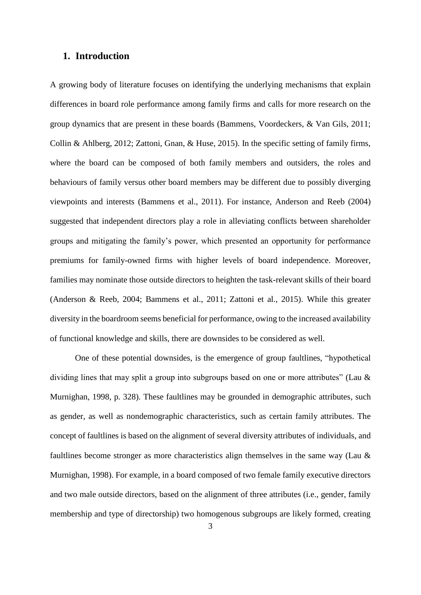# **1. Introduction**

A growing body of literature focuses on identifying the underlying mechanisms that explain differences in board role performance among family firms and calls for more research on the group dynamics that are present in these boards (Bammens, Voordeckers, & Van Gils, 2011; Collin & Ahlberg, 2012; Zattoni, Gnan, & Huse, 2015). In the specific setting of family firms, where the board can be composed of both family members and outsiders, the roles and behaviours of family versus other board members may be different due to possibly diverging viewpoints and interests (Bammens et al., 2011). For instance, Anderson and Reeb (2004) suggested that independent directors play a role in alleviating conflicts between shareholder groups and mitigating the family's power, which presented an opportunity for performance premiums for family-owned firms with higher levels of board independence. Moreover, families may nominate those outside directors to heighten the task-relevant skills of their board (Anderson & Reeb, 2004; Bammens et al., 2011; Zattoni et al., 2015). While this greater diversity in the boardroom seems beneficial for performance, owing to the increased availability of functional knowledge and skills, there are downsides to be considered as well.

One of these potential downsides, is the emergence of group faultlines, "hypothetical dividing lines that may split a group into subgroups based on one or more attributes" (Lau & Murnighan, 1998, p. 328). These faultlines may be grounded in demographic attributes, such as gender, as well as nondemographic characteristics, such as certain family attributes. The concept of faultlines is based on the alignment of several diversity attributes of individuals, and faultlines become stronger as more characteristics align themselves in the same way (Lau & Murnighan, 1998). For example, in a board composed of two female family executive directors and two male outside directors, based on the alignment of three attributes (i.e., gender, family membership and type of directorship) two homogenous subgroups are likely formed, creating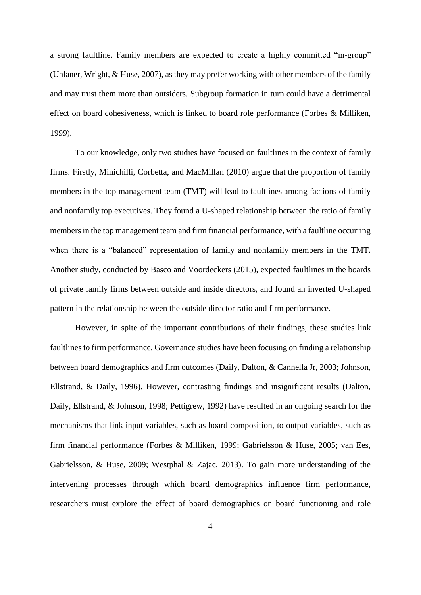a strong faultline. Family members are expected to create a highly committed "in-group" (Uhlaner, Wright, & Huse, 2007), as they may prefer working with other members of the family and may trust them more than outsiders. Subgroup formation in turn could have a detrimental effect on board cohesiveness, which is linked to board role performance (Forbes & Milliken, 1999).

To our knowledge, only two studies have focused on faultlines in the context of family firms. Firstly, Minichilli, Corbetta, and MacMillan (2010) argue that the proportion of family members in the top management team (TMT) will lead to faultlines among factions of family and nonfamily top executives. They found a U-shaped relationship between the ratio of family members in the top management team and firm financial performance, with a faultline occurring when there is a "balanced" representation of family and nonfamily members in the TMT. Another study, conducted by Basco and Voordeckers (2015), expected faultlines in the boards of private family firms between outside and inside directors, and found an inverted U-shaped pattern in the relationship between the outside director ratio and firm performance.

However, in spite of the important contributions of their findings, these studies link faultlines to firm performance. Governance studies have been focusing on finding a relationship between board demographics and firm outcomes (Daily, Dalton, & Cannella Jr, 2003; Johnson, Ellstrand, & Daily, 1996). However, contrasting findings and insignificant results (Dalton, Daily, Ellstrand, & Johnson, 1998; Pettigrew, 1992) have resulted in an ongoing search for the mechanisms that link input variables, such as board composition, to output variables, such as firm financial performance (Forbes & Milliken, 1999; Gabrielsson & Huse, 2005; van Ees, Gabrielsson, & Huse, 2009; Westphal & Zajac, 2013). To gain more understanding of the intervening processes through which board demographics influence firm performance, researchers must explore the effect of board demographics on board functioning and role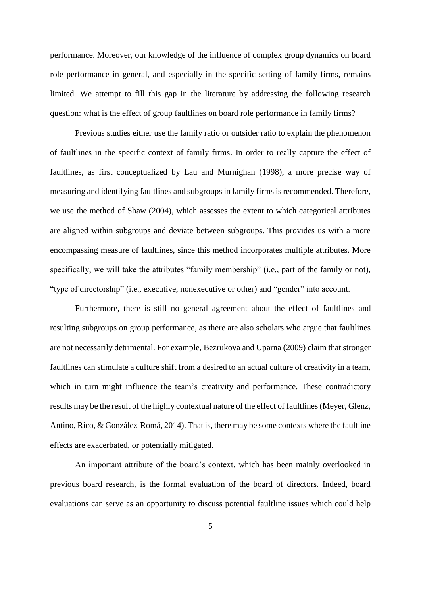performance. Moreover, our knowledge of the influence of complex group dynamics on board role performance in general, and especially in the specific setting of family firms, remains limited. We attempt to fill this gap in the literature by addressing the following research question: what is the effect of group faultlines on board role performance in family firms?

Previous studies either use the family ratio or outsider ratio to explain the phenomenon of faultlines in the specific context of family firms. In order to really capture the effect of faultlines, as first conceptualized by Lau and Murnighan (1998), a more precise way of measuring and identifying faultlines and subgroups in family firms is recommended. Therefore, we use the method of Shaw (2004), which assesses the extent to which categorical attributes are aligned within subgroups and deviate between subgroups. This provides us with a more encompassing measure of faultlines, since this method incorporates multiple attributes. More specifically, we will take the attributes "family membership" (i.e., part of the family or not), "type of directorship" (i.e., executive, nonexecutive or other) and "gender" into account.

Furthermore, there is still no general agreement about the effect of faultlines and resulting subgroups on group performance, as there are also scholars who argue that faultlines are not necessarily detrimental. For example, Bezrukova and Uparna (2009) claim that stronger faultlines can stimulate a culture shift from a desired to an actual culture of creativity in a team, which in turn might influence the team's creativity and performance. These contradictory results may be the result of the highly contextual nature of the effect of faultlines (Meyer, Glenz, Antino, Rico, & González-Romá, 2014). That is, there may be some contexts where the faultline effects are exacerbated, or potentially mitigated.

An important attribute of the board's context, which has been mainly overlooked in previous board research, is the formal evaluation of the board of directors. Indeed, board evaluations can serve as an opportunity to discuss potential faultline issues which could help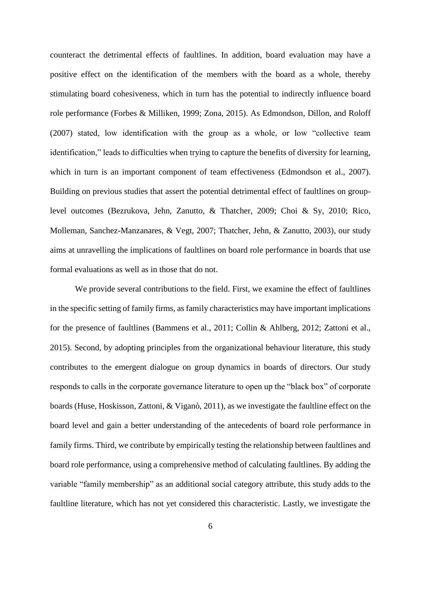counteract the detrimental effects of faultlines. In addition, board evaluation may have a positive effect on the identification of the members with the board as a whole, thereby stimulating board cohesiveness, which in turn has the potential to indirectly influence board role performance (Forbes & Milliken, 1999; Zona, 2015). As Edmondson, Dillon, and Roloff (2007) stated, low identification with the group as a whole, or low "collective team identification," leads to difficulties when trying to capture the benefits of diversity for learning, which in turn is an important component of team effectiveness (Edmondson et al., 2007). Building on previous studies that assert the potential detrimental effect of faultlines on grouplevel outcomes (Bezrukova, Jehn, Zanutto, & Thatcher, 2009; Choi & Sy, 2010; Rico, Molleman, Sanchez-Manzanares, & Vegt, 2007; Thatcher, Jehn, & Zanutto, 2003), our study aims at unravelling the implications of faultlines on board role performance in boards that use formal evaluations as well as in those that do not.

We provide several contributions to the field. First, we examine the effect of faultlines in the specific setting of family firms, as family characteristics may have important implications for the presence of faultlines (Bammens et al., 2011; Collin & Ahlberg, 2012; Zattoni et al., 2015). Second, by adopting principles from the organizational behaviour literature, this study contributes to the emergent dialogue on group dynamics in boards of directors. Our study responds to calls in the corporate governance literature to open up the "black box" of corporate boards (Huse, Hoskisson, Zattoni, & Viganò, 2011), as we investigate the faultline effect on the board level and gain a better understanding of the antecedents of board role performance in family firms. Third, we contribute by empirically testing the relationship between faultlines and board role performance, using a comprehensive method of calculating faultlines. By adding the variable "family membership" as an additional social category attribute, this study adds to the faultline literature, which has not yet considered this characteristic. Lastly, we investigate the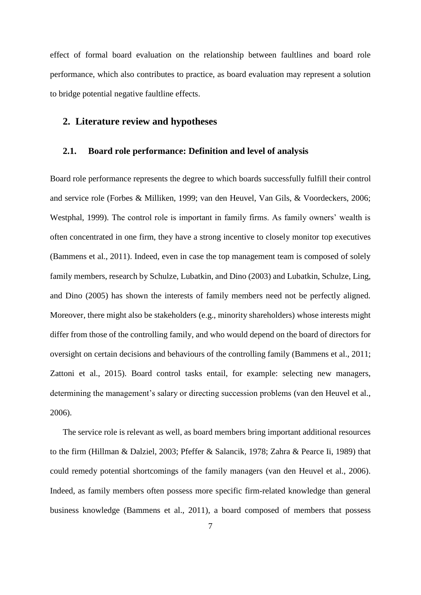effect of formal board evaluation on the relationship between faultlines and board role performance, which also contributes to practice, as board evaluation may represent a solution to bridge potential negative faultline effects.

# **2. Literature review and hypotheses**

## **2.1. Board role performance: Definition and level of analysis**

Board role performance represents the degree to which boards successfully fulfill their control and service role (Forbes & Milliken, 1999; van den Heuvel, Van Gils, & Voordeckers, 2006; Westphal, 1999). The control role is important in family firms. As family owners' wealth is often concentrated in one firm, they have a strong incentive to closely monitor top executives (Bammens et al., 2011). Indeed, even in case the top management team is composed of solely family members, research by Schulze, Lubatkin, and Dino (2003) and Lubatkin, Schulze, Ling, and Dino (2005) has shown the interests of family members need not be perfectly aligned. Moreover, there might also be stakeholders (e.g., minority shareholders) whose interests might differ from those of the controlling family, and who would depend on the board of directors for oversight on certain decisions and behaviours of the controlling family (Bammens et al., 2011; Zattoni et al., 2015). Board control tasks entail, for example: selecting new managers, determining the management's salary or directing succession problems (van den Heuvel et al., 2006).

The service role is relevant as well, as board members bring important additional resources to the firm (Hillman & Dalziel, 2003; Pfeffer & Salancik, 1978; Zahra & Pearce Ii, 1989) that could remedy potential shortcomings of the family managers (van den Heuvel et al., 2006). Indeed, as family members often possess more specific firm-related knowledge than general business knowledge (Bammens et al., 2011), a board composed of members that possess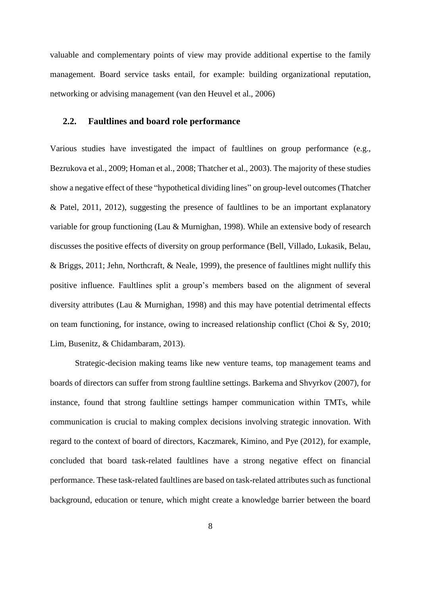valuable and complementary points of view may provide additional expertise to the family management. Board service tasks entail, for example: building organizational reputation, networking or advising management (van den Heuvel et al., 2006)

# **2.2. Faultlines and board role performance**

Various studies have investigated the impact of faultlines on group performance (e.g., Bezrukova et al., 2009; Homan et al., 2008; Thatcher et al., 2003). The majority of these studies show a negative effect of these "hypothetical dividing lines" on group-level outcomes(Thatcher & Patel, 2011, 2012), suggesting the presence of faultlines to be an important explanatory variable for group functioning (Lau & Murnighan, 1998). While an extensive body of research discusses the positive effects of diversity on group performance (Bell, Villado, Lukasik, Belau, & Briggs, 2011; Jehn, Northcraft, & Neale, 1999), the presence of faultlines might nullify this positive influence. Faultlines split a group's members based on the alignment of several diversity attributes (Lau & Murnighan, 1998) and this may have potential detrimental effects on team functioning, for instance, owing to increased relationship conflict (Choi & Sy, 2010; Lim, Busenitz, & Chidambaram, 2013).

Strategic-decision making teams like new venture teams, top management teams and boards of directors can suffer from strong faultline settings. Barkema and Shvyrkov (2007), for instance, found that strong faultline settings hamper communication within TMTs, while communication is crucial to making complex decisions involving strategic innovation. With regard to the context of board of directors, Kaczmarek, Kimino, and Pye (2012), for example, concluded that board task-related faultlines have a strong negative effect on financial performance. These task-related faultlines are based on task-related attributes such as functional background, education or tenure, which might create a knowledge barrier between the board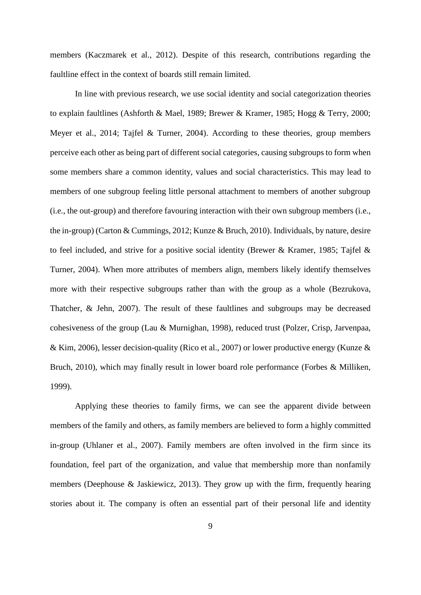members (Kaczmarek et al., 2012). Despite of this research, contributions regarding the faultline effect in the context of boards still remain limited.

In line with previous research, we use social identity and social categorization theories to explain faultlines (Ashforth & Mael, 1989; Brewer & Kramer, 1985; Hogg & Terry, 2000; Meyer et al., 2014; Tajfel & Turner, 2004). According to these theories, group members perceive each other as being part of different social categories, causing subgroups to form when some members share a common identity, values and social characteristics. This may lead to members of one subgroup feeling little personal attachment to members of another subgroup (i.e., the out-group) and therefore favouring interaction with their own subgroup members (i.e., the in-group) (Carton & Cummings, 2012; Kunze & Bruch, 2010). Individuals, by nature, desire to feel included, and strive for a positive social identity (Brewer & Kramer, 1985; Tajfel & Turner, 2004). When more attributes of members align, members likely identify themselves more with their respective subgroups rather than with the group as a whole (Bezrukova, Thatcher, & Jehn, 2007). The result of these faultlines and subgroups may be decreased cohesiveness of the group (Lau & Murnighan, 1998), reduced trust (Polzer, Crisp, Jarvenpaa, & Kim, 2006), lesser decision-quality (Rico et al., 2007) or lower productive energy (Kunze & Bruch, 2010), which may finally result in lower board role performance (Forbes & Milliken, 1999).

Applying these theories to family firms, we can see the apparent divide between members of the family and others, as family members are believed to form a highly committed in-group (Uhlaner et al., 2007). Family members are often involved in the firm since its foundation, feel part of the organization, and value that membership more than nonfamily members (Deephouse & Jaskiewicz, 2013). They grow up with the firm, frequently hearing stories about it. The company is often an essential part of their personal life and identity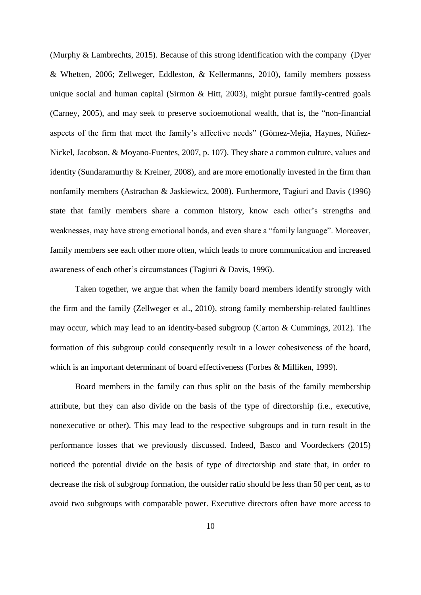(Murphy & Lambrechts, 2015). Because of this strong identification with the company (Dyer & Whetten, 2006; Zellweger, Eddleston, & Kellermanns, 2010), family members possess unique social and human capital (Sirmon & Hitt, 2003), might pursue family-centred goals (Carney, 2005), and may seek to preserve socioemotional wealth, that is, the "non-financial aspects of the firm that meet the family's affective needs" (Gómez-Mejía, Haynes, Núñez-Nickel, Jacobson, & Moyano-Fuentes, 2007, p. 107). They share a common culture, values and identity (Sundaramurthy & Kreiner, 2008), and are more emotionally invested in the firm than nonfamily members (Astrachan & Jaskiewicz, 2008). Furthermore, Tagiuri and Davis (1996) state that family members share a common history, know each other's strengths and weaknesses, may have strong emotional bonds, and even share a "family language". Moreover, family members see each other more often, which leads to more communication and increased awareness of each other's circumstances (Tagiuri & Davis, 1996).

Taken together, we argue that when the family board members identify strongly with the firm and the family (Zellweger et al., 2010), strong family membership-related faultlines may occur, which may lead to an identity-based subgroup (Carton & Cummings, 2012). The formation of this subgroup could consequently result in a lower cohesiveness of the board, which is an important determinant of board effectiveness (Forbes & Milliken, 1999).

Board members in the family can thus split on the basis of the family membership attribute, but they can also divide on the basis of the type of directorship (i.e., executive, nonexecutive or other). This may lead to the respective subgroups and in turn result in the performance losses that we previously discussed. Indeed, Basco and Voordeckers (2015) noticed the potential divide on the basis of type of directorship and state that, in order to decrease the risk of subgroup formation, the outsider ratio should be less than 50 per cent, as to avoid two subgroups with comparable power. Executive directors often have more access to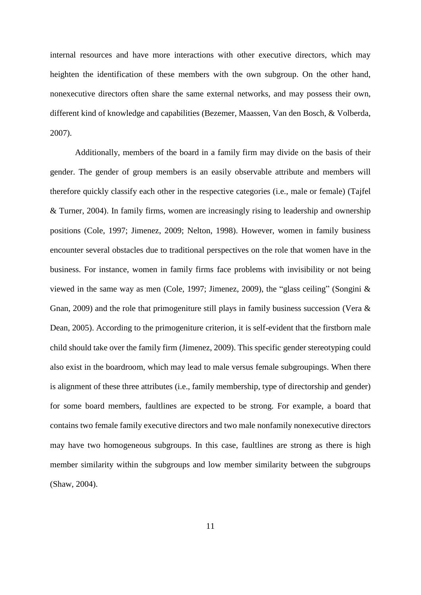internal resources and have more interactions with other executive directors, which may heighten the identification of these members with the own subgroup. On the other hand, nonexecutive directors often share the same external networks, and may possess their own, different kind of knowledge and capabilities (Bezemer, Maassen, Van den Bosch, & Volberda, 2007).

Additionally, members of the board in a family firm may divide on the basis of their gender. The gender of group members is an easily observable attribute and members will therefore quickly classify each other in the respective categories (i.e., male or female) (Tajfel & Turner, 2004). In family firms, women are increasingly rising to leadership and ownership positions (Cole, 1997; Jimenez, 2009; Nelton, 1998). However, women in family business encounter several obstacles due to traditional perspectives on the role that women have in the business. For instance, women in family firms face problems with invisibility or not being viewed in the same way as men (Cole, 1997; Jimenez, 2009), the "glass ceiling" (Songini & Gnan, 2009) and the role that primogeniture still plays in family business succession (Vera & Dean, 2005). According to the primogeniture criterion, it is self-evident that the firstborn male child should take over the family firm (Jimenez, 2009). This specific gender stereotyping could also exist in the boardroom, which may lead to male versus female subgroupings. When there is alignment of these three attributes (i.e., family membership, type of directorship and gender) for some board members, faultlines are expected to be strong. For example, a board that contains two female family executive directors and two male nonfamily nonexecutive directors may have two homogeneous subgroups. In this case, faultlines are strong as there is high member similarity within the subgroups and low member similarity between the subgroups (Shaw, 2004).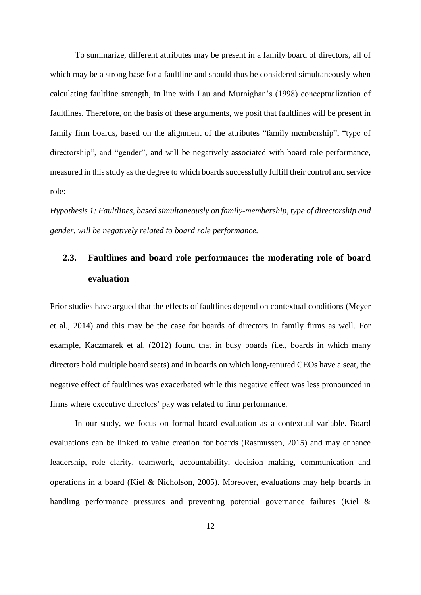To summarize, different attributes may be present in a family board of directors, all of which may be a strong base for a faultline and should thus be considered simultaneously when calculating faultline strength, in line with Lau and Murnighan's (1998) conceptualization of faultlines. Therefore, on the basis of these arguments, we posit that faultlines will be present in family firm boards, based on the alignment of the attributes "family membership", "type of directorship", and "gender", and will be negatively associated with board role performance, measured in this study as the degree to which boards successfully fulfill their control and service role:

*Hypothesis 1: Faultlines, based simultaneously on family-membership, type of directorship and gender, will be negatively related to board role performance.*

# **2.3. Faultlines and board role performance: the moderating role of board evaluation**

Prior studies have argued that the effects of faultlines depend on contextual conditions (Meyer et al., 2014) and this may be the case for boards of directors in family firms as well. For example, Kaczmarek et al. (2012) found that in busy boards (i.e., boards in which many directors hold multiple board seats) and in boards on which long-tenured CEOs have a seat, the negative effect of faultlines was exacerbated while this negative effect was less pronounced in firms where executive directors' pay was related to firm performance.

In our study, we focus on formal board evaluation as a contextual variable. Board evaluations can be linked to value creation for boards (Rasmussen, 2015) and may enhance leadership, role clarity, teamwork, accountability, decision making, communication and operations in a board (Kiel & Nicholson, 2005). Moreover, evaluations may help boards in handling performance pressures and preventing potential governance failures (Kiel &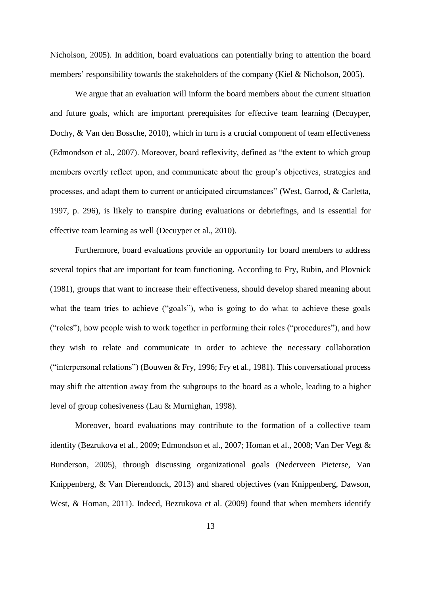Nicholson, 2005). In addition, board evaluations can potentially bring to attention the board members' responsibility towards the stakeholders of the company (Kiel & Nicholson, 2005).

We argue that an evaluation will inform the board members about the current situation and future goals, which are important prerequisites for effective team learning (Decuyper, Dochy, & Van den Bossche, 2010), which in turn is a crucial component of team effectiveness (Edmondson et al., 2007). Moreover, board reflexivity, defined as "the extent to which group members overtly reflect upon, and communicate about the group's objectives, strategies and processes, and adapt them to current or anticipated circumstances" (West, Garrod, & Carletta, 1997, p. 296), is likely to transpire during evaluations or debriefings, and is essential for effective team learning as well (Decuyper et al., 2010).

Furthermore, board evaluations provide an opportunity for board members to address several topics that are important for team functioning. According to Fry, Rubin, and Plovnick (1981), groups that want to increase their effectiveness, should develop shared meaning about what the team tries to achieve ("goals"), who is going to do what to achieve these goals ("roles"), how people wish to work together in performing their roles ("procedures"), and how they wish to relate and communicate in order to achieve the necessary collaboration ("interpersonal relations") (Bouwen & Fry, 1996; Fry et al., 1981). This conversational process may shift the attention away from the subgroups to the board as a whole, leading to a higher level of group cohesiveness (Lau & Murnighan, 1998).

Moreover, board evaluations may contribute to the formation of a collective team identity (Bezrukova et al., 2009; Edmondson et al., 2007; Homan et al., 2008; Van Der Vegt & Bunderson, 2005), through discussing organizational goals (Nederveen Pieterse, Van Knippenberg, & Van Dierendonck, 2013) and shared objectives (van Knippenberg, Dawson, West, & Homan, 2011). Indeed, Bezrukova et al. (2009) found that when members identify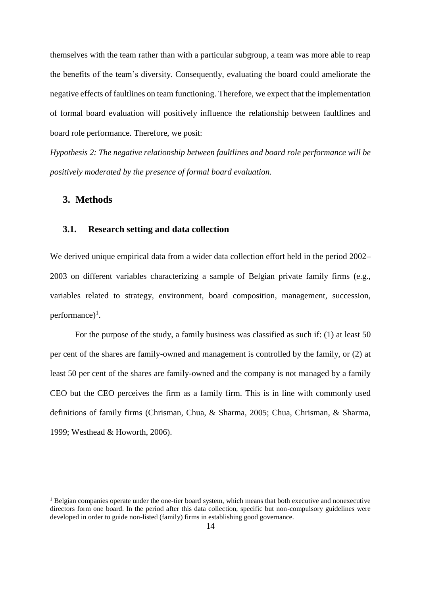themselves with the team rather than with a particular subgroup, a team was more able to reap the benefits of the team's diversity. Consequently, evaluating the board could ameliorate the negative effects of faultlines on team functioning. Therefore, we expect that the implementation of formal board evaluation will positively influence the relationship between faultlines and board role performance. Therefore, we posit:

*Hypothesis 2: The negative relationship between faultlines and board role performance will be positively moderated by the presence of formal board evaluation.*

# **3. Methods**

<u>.</u>

# **3.1. Research setting and data collection**

We derived unique empirical data from a wider data collection effort held in the period 2002– 2003 on different variables characterizing a sample of Belgian private family firms (e.g., variables related to strategy, environment, board composition, management, succession, performance)<sup>1</sup>.

For the purpose of the study, a family business was classified as such if: (1) at least 50 per cent of the shares are family-owned and management is controlled by the family, or (2) at least 50 per cent of the shares are family-owned and the company is not managed by a family CEO but the CEO perceives the firm as a family firm. This is in line with commonly used definitions of family firms (Chrisman, Chua, & Sharma, 2005; Chua, Chrisman, & Sharma, 1999; Westhead & Howorth, 2006).

<sup>&</sup>lt;sup>1</sup> Belgian companies operate under the one-tier board system, which means that both executive and nonexecutive directors form one board. In the period after this data collection, specific but non-compulsory guidelines were developed in order to guide non-listed (family) firms in establishing good governance.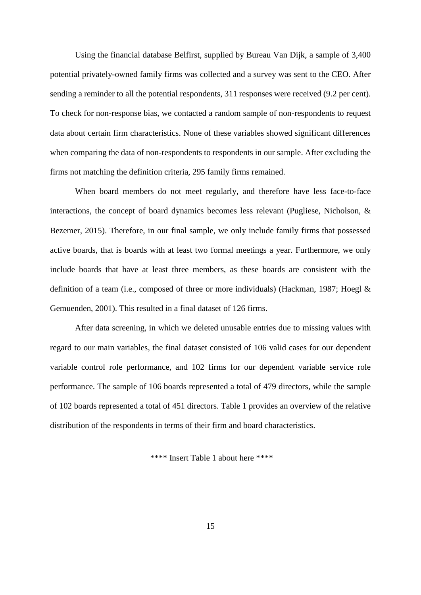Using the financial database Belfirst, supplied by Bureau Van Dijk, a sample of 3,400 potential privately-owned family firms was collected and a survey was sent to the CEO. After sending a reminder to all the potential respondents, 311 responses were received (9.2 per cent). To check for non-response bias, we contacted a random sample of non-respondents to request data about certain firm characteristics. None of these variables showed significant differences when comparing the data of non-respondents to respondents in our sample. After excluding the firms not matching the definition criteria, 295 family firms remained.

When board members do not meet regularly, and therefore have less face-to-face interactions, the concept of board dynamics becomes less relevant (Pugliese, Nicholson, & Bezemer, 2015). Therefore, in our final sample, we only include family firms that possessed active boards, that is boards with at least two formal meetings a year. Furthermore, we only include boards that have at least three members, as these boards are consistent with the definition of a team (i.e., composed of three or more individuals) (Hackman, 1987; Hoegl & Gemuenden, 2001). This resulted in a final dataset of 126 firms.

After data screening, in which we deleted unusable entries due to missing values with regard to our main variables, the final dataset consisted of 106 valid cases for our dependent variable control role performance, and 102 firms for our dependent variable service role performance. The sample of 106 boards represented a total of 479 directors, while the sample of 102 boards represented a total of 451 directors. Table 1 provides an overview of the relative distribution of the respondents in terms of their firm and board characteristics.

\*\*\*\* Insert Table 1 about here \*\*\*\*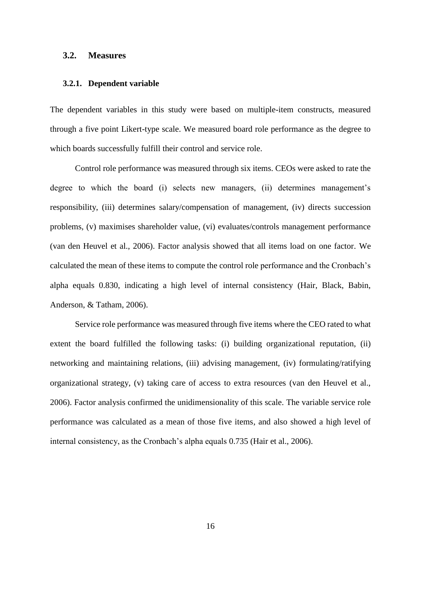# **3.2. Measures**

#### **3.2.1. Dependent variable**

The dependent variables in this study were based on multiple-item constructs, measured through a five point Likert-type scale. We measured board role performance as the degree to which boards successfully fulfill their control and service role.

Control role performance was measured through six items. CEOs were asked to rate the degree to which the board (i) selects new managers, (ii) determines management's responsibility, (iii) determines salary/compensation of management, (iv) directs succession problems, (v) maximises shareholder value, (vi) evaluates/controls management performance (van den Heuvel et al., 2006). Factor analysis showed that all items load on one factor. We calculated the mean of these items to compute the control role performance and the Cronbach's alpha equals 0.830, indicating a high level of internal consistency (Hair, Black, Babin, Anderson, & Tatham, 2006).

Service role performance was measured through five items where the CEO rated to what extent the board fulfilled the following tasks: (i) building organizational reputation, (ii) networking and maintaining relations, (iii) advising management, (iv) formulating/ratifying organizational strategy, (v) taking care of access to extra resources (van den Heuvel et al., 2006). Factor analysis confirmed the unidimensionality of this scale. The variable service role performance was calculated as a mean of those five items, and also showed a high level of internal consistency, as the Cronbach's alpha equals 0.735 (Hair et al., 2006).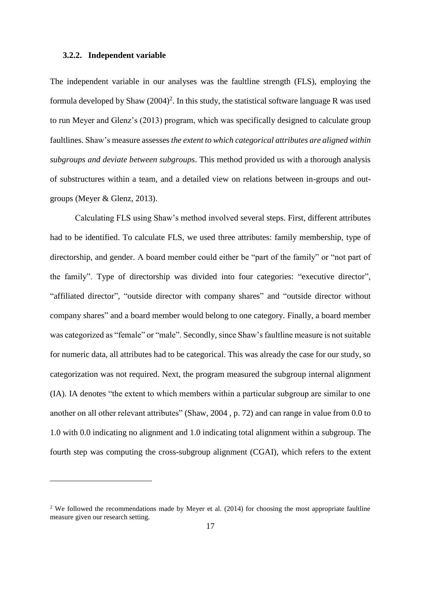#### **3.2.2. Independent variable**

1

The independent variable in our analyses was the faultline strength (FLS), employing the formula developed by Shaw  $(2004)^2$ . In this study, the statistical software language R was used to run Meyer and Glenz's (2013) program, which was specifically designed to calculate group faultlines. Shaw's measure assesses*the extent to which categorical attributes are aligned within subgroups and deviate between subgroups*. This method provided us with a thorough analysis of substructures within a team, and a detailed view on relations between in-groups and outgroups (Meyer & Glenz, 2013).

Calculating FLS using Shaw's method involved several steps. First, different attributes had to be identified. To calculate FLS, we used three attributes: family membership, type of directorship, and gender. A board member could either be "part of the family" or "not part of the family". Type of directorship was divided into four categories: "executive director", "affiliated director", "outside director with company shares" and "outside director without company shares" and a board member would belong to one category. Finally, a board member was categorized as "female" or "male". Secondly, since Shaw's faultline measure is not suitable for numeric data, all attributes had to be categorical. This was already the case for our study, so categorization was not required. Next, the program measured the subgroup internal alignment (IA). IA denotes "the extent to which members within a particular subgroup are similar to one another on all other relevant attributes" (Shaw, 2004 , p. 72) and can range in value from 0.0 to 1.0 with 0.0 indicating no alignment and 1.0 indicating total alignment within a subgroup. The fourth step was computing the cross-subgroup alignment (CGAI), which refers to the extent

<sup>&</sup>lt;sup>2</sup> We followed the recommendations made by Meyer et al.  $(2014)$  for choosing the most appropriate faultline measure given our research setting.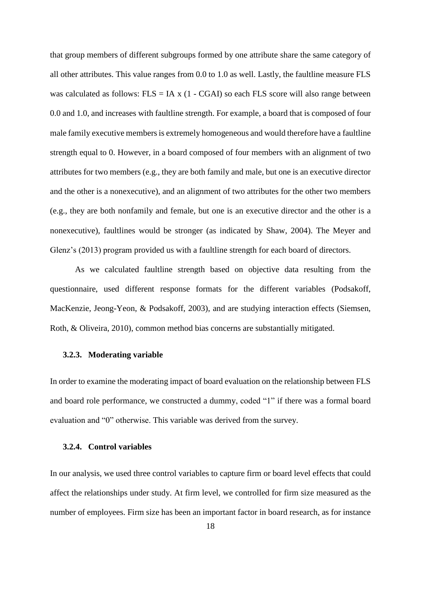that group members of different subgroups formed by one attribute share the same category of all other attributes. This value ranges from 0.0 to 1.0 as well. Lastly, the faultline measure FLS was calculated as follows:  $FLS = IA \times (1 - CGAI)$  so each  $FLS$  score will also range between 0.0 and 1.0, and increases with faultline strength. For example, a board that is composed of four male family executive members is extremely homogeneous and would therefore have a faultline strength equal to 0. However, in a board composed of four members with an alignment of two attributes for two members (e.g., they are both family and male, but one is an executive director and the other is a nonexecutive), and an alignment of two attributes for the other two members (e.g., they are both nonfamily and female, but one is an executive director and the other is a nonexecutive), faultlines would be stronger (as indicated by Shaw, 2004). The Meyer and Glenz's (2013) program provided us with a faultline strength for each board of directors.

As we calculated faultline strength based on objective data resulting from the questionnaire, used different response formats for the different variables (Podsakoff, MacKenzie, Jeong-Yeon, & Podsakoff, 2003), and are studying interaction effects (Siemsen, Roth, & Oliveira, 2010), common method bias concerns are substantially mitigated.

#### **3.2.3. Moderating variable**

In order to examine the moderating impact of board evaluation on the relationship between FLS and board role performance, we constructed a dummy, coded "1" if there was a formal board evaluation and "0" otherwise. This variable was derived from the survey.

# **3.2.4. Control variables**

In our analysis, we used three control variables to capture firm or board level effects that could affect the relationships under study. At firm level, we controlled for firm size measured as the number of employees. Firm size has been an important factor in board research, as for instance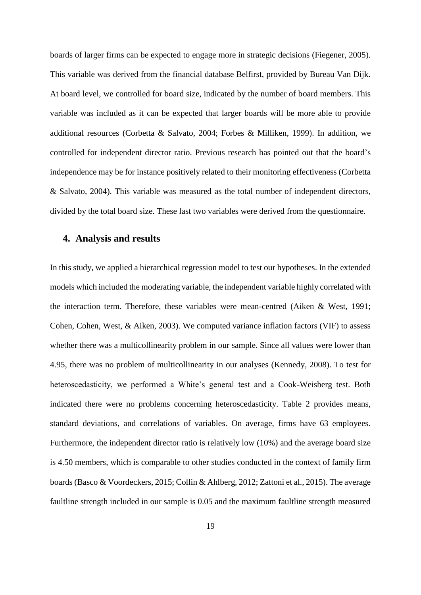boards of larger firms can be expected to engage more in strategic decisions (Fiegener, 2005). This variable was derived from the financial database Belfirst, provided by Bureau Van Dijk. At board level, we controlled for board size, indicated by the number of board members. This variable was included as it can be expected that larger boards will be more able to provide additional resources (Corbetta & Salvato, 2004; Forbes & Milliken, 1999). In addition, we controlled for independent director ratio. Previous research has pointed out that the board's independence may be for instance positively related to their monitoring effectiveness (Corbetta & Salvato, 2004). This variable was measured as the total number of independent directors, divided by the total board size. These last two variables were derived from the questionnaire.

# **4. Analysis and results**

In this study, we applied a hierarchical regression model to test our hypotheses. In the extended models which included the moderating variable, the independent variable highly correlated with the interaction term. Therefore, these variables were mean-centred (Aiken & West, 1991; Cohen, Cohen, West, & Aiken, 2003). We computed variance inflation factors (VIF) to assess whether there was a multicollinearity problem in our sample. Since all values were lower than 4.95, there was no problem of multicollinearity in our analyses (Kennedy, 2008). To test for heteroscedasticity, we performed a White's general test and a Cook-Weisberg test. Both indicated there were no problems concerning heteroscedasticity. Table 2 provides means, standard deviations, and correlations of variables. On average, firms have 63 employees. Furthermore, the independent director ratio is relatively low (10%) and the average board size is 4.50 members, which is comparable to other studies conducted in the context of family firm boards (Basco & Voordeckers, 2015; Collin & Ahlberg, 2012; Zattoni et al., 2015). The average faultline strength included in our sample is 0.05 and the maximum faultline strength measured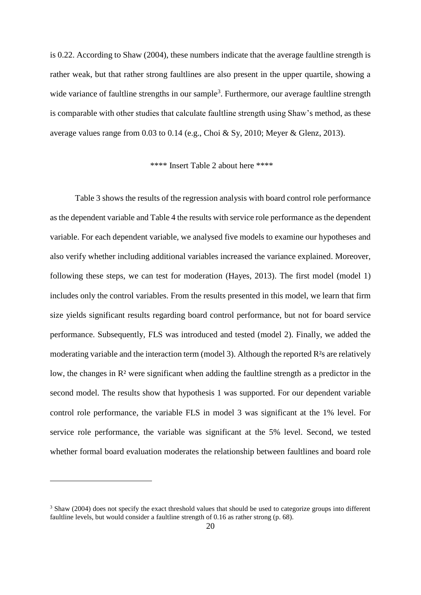is 0.22. According to Shaw (2004), these numbers indicate that the average faultline strength is rather weak, but that rather strong faultlines are also present in the upper quartile, showing a wide variance of faultline strengths in our sample<sup>3</sup>. Furthermore, our average faultline strength is comparable with other studies that calculate faultline strength using Shaw's method, as these average values range from 0.03 to 0.14 (e.g., Choi & Sy, 2010; Meyer & Glenz, 2013).

#### \*\*\*\* Insert Table 2 about here \*\*\*\*

Table 3 shows the results of the regression analysis with board control role performance as the dependent variable and Table 4 the results with service role performance as the dependent variable. For each dependent variable, we analysed five models to examine our hypotheses and also verify whether including additional variables increased the variance explained. Moreover, following these steps, we can test for moderation (Hayes, 2013). The first model (model 1) includes only the control variables. From the results presented in this model, we learn that firm size yields significant results regarding board control performance, but not for board service performance. Subsequently, FLS was introduced and tested (model 2). Finally, we added the moderating variable and the interaction term (model 3). Although the reported R<sup>2</sup>s are relatively low, the changes in  $\mathbb{R}^2$  were significant when adding the faultline strength as a predictor in the second model. The results show that hypothesis 1 was supported. For our dependent variable control role performance, the variable FLS in model 3 was significant at the 1% level. For service role performance, the variable was significant at the 5% level. Second, we tested whether formal board evaluation moderates the relationship between faultlines and board role

1

<sup>&</sup>lt;sup>3</sup> Shaw (2004) does not specify the exact threshold values that should be used to categorize groups into different faultline levels, but would consider a faultline strength of 0.16 as rather strong (p. 68).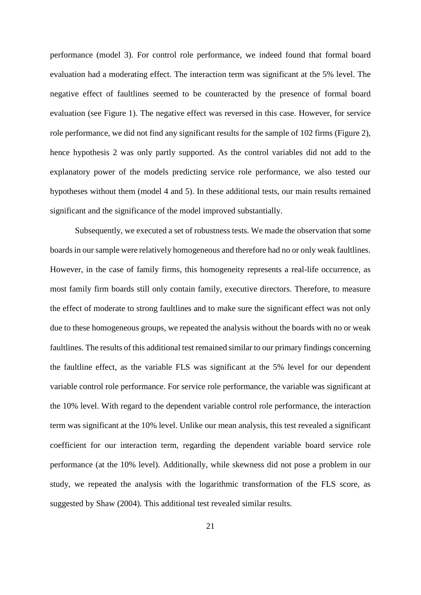performance (model 3). For control role performance, we indeed found that formal board evaluation had a moderating effect. The interaction term was significant at the 5% level. The negative effect of faultlines seemed to be counteracted by the presence of formal board evaluation (see Figure 1). The negative effect was reversed in this case. However, for service role performance, we did not find any significant results for the sample of 102 firms (Figure 2), hence hypothesis 2 was only partly supported. As the control variables did not add to the explanatory power of the models predicting service role performance, we also tested our hypotheses without them (model 4 and 5). In these additional tests, our main results remained significant and the significance of the model improved substantially.

Subsequently, we executed a set of robustness tests. We made the observation that some boards in our sample were relatively homogeneous and therefore had no or only weak faultlines. However, in the case of family firms, this homogeneity represents a real-life occurrence, as most family firm boards still only contain family, executive directors. Therefore, to measure the effect of moderate to strong faultlines and to make sure the significant effect was not only due to these homogeneous groups, we repeated the analysis without the boards with no or weak faultlines. The results of this additional test remained similar to our primary findings concerning the faultline effect, as the variable FLS was significant at the 5% level for our dependent variable control role performance. For service role performance, the variable was significant at the 10% level. With regard to the dependent variable control role performance, the interaction term was significant at the 10% level. Unlike our mean analysis, this test revealed a significant coefficient for our interaction term, regarding the dependent variable board service role performance (at the 10% level). Additionally, while skewness did not pose a problem in our study, we repeated the analysis with the logarithmic transformation of the FLS score, as suggested by Shaw (2004). This additional test revealed similar results.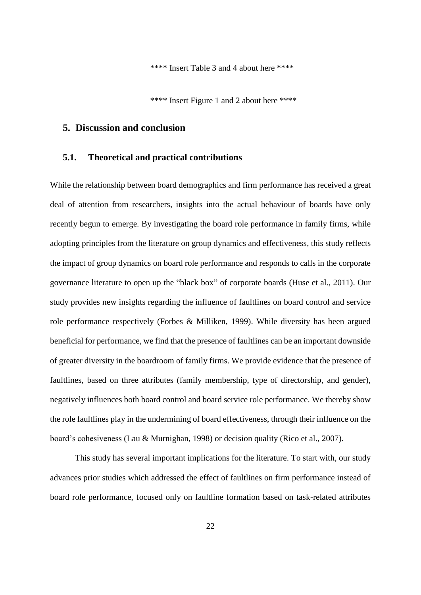\*\*\*\* Insert Table 3 and 4 about here \*\*\*\*

\*\*\*\* Insert Figure 1 and 2 about here \*\*\*\*

# **5. Discussion and conclusion**

# **5.1. Theoretical and practical contributions**

While the relationship between board demographics and firm performance has received a great deal of attention from researchers, insights into the actual behaviour of boards have only recently begun to emerge. By investigating the board role performance in family firms, while adopting principles from the literature on group dynamics and effectiveness, this study reflects the impact of group dynamics on board role performance and responds to calls in the corporate governance literature to open up the "black box" of corporate boards (Huse et al., 2011). Our study provides new insights regarding the influence of faultlines on board control and service role performance respectively (Forbes & Milliken, 1999). While diversity has been argued beneficial for performance, we find that the presence of faultlines can be an important downside of greater diversity in the boardroom of family firms. We provide evidence that the presence of faultlines, based on three attributes (family membership, type of directorship, and gender), negatively influences both board control and board service role performance. We thereby show the role faultlines play in the undermining of board effectiveness, through their influence on the board's cohesiveness (Lau & Murnighan, 1998) or decision quality (Rico et al., 2007).

This study has several important implications for the literature. To start with, our study advances prior studies which addressed the effect of faultlines on firm performance instead of board role performance, focused only on faultline formation based on task-related attributes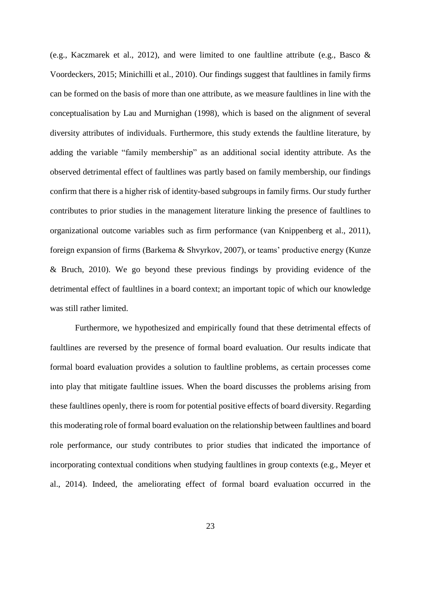(e.g., Kaczmarek et al., 2012), and were limited to one faultline attribute (e.g., Basco & Voordeckers, 2015; Minichilli et al., 2010). Our findings suggest that faultlines in family firms can be formed on the basis of more than one attribute, as we measure faultlines in line with the conceptualisation by Lau and Murnighan (1998), which is based on the alignment of several diversity attributes of individuals. Furthermore, this study extends the faultline literature, by adding the variable "family membership" as an additional social identity attribute. As the observed detrimental effect of faultlines was partly based on family membership, our findings confirm that there is a higher risk of identity-based subgroups in family firms. Our study further contributes to prior studies in the management literature linking the presence of faultlines to organizational outcome variables such as firm performance (van Knippenberg et al., 2011), foreign expansion of firms (Barkema & Shvyrkov, 2007), or teams' productive energy (Kunze & Bruch, 2010). We go beyond these previous findings by providing evidence of the detrimental effect of faultlines in a board context; an important topic of which our knowledge was still rather limited.

Furthermore, we hypothesized and empirically found that these detrimental effects of faultlines are reversed by the presence of formal board evaluation. Our results indicate that formal board evaluation provides a solution to faultline problems, as certain processes come into play that mitigate faultline issues. When the board discusses the problems arising from these faultlines openly, there is room for potential positive effects of board diversity. Regarding this moderating role of formal board evaluation on the relationship between faultlines and board role performance, our study contributes to prior studies that indicated the importance of incorporating contextual conditions when studying faultlines in group contexts (e.g., Meyer et al., 2014). Indeed, the ameliorating effect of formal board evaluation occurred in the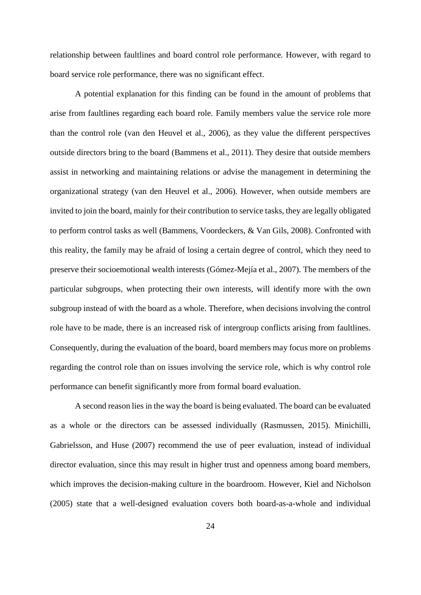relationship between faultlines and board control role performance. However, with regard to board service role performance, there was no significant effect.

A potential explanation for this finding can be found in the amount of problems that arise from faultlines regarding each board role. Family members value the service role more than the control role (van den Heuvel et al., 2006), as they value the different perspectives outside directors bring to the board (Bammens et al., 2011). They desire that outside members assist in networking and maintaining relations or advise the management in determining the organizational strategy (van den Heuvel et al., 2006). However, when outside members are invited to join the board, mainly for their contribution to service tasks, they are legally obligated to perform control tasks as well (Bammens, Voordeckers, & Van Gils, 2008). Confronted with this reality, the family may be afraid of losing a certain degree of control, which they need to preserve their socioemotional wealth interests (Gómez-Mejía et al., 2007). The members of the particular subgroups, when protecting their own interests, will identify more with the own subgroup instead of with the board as a whole. Therefore, when decisions involving the control role have to be made, there is an increased risk of intergroup conflicts arising from faultlines. Consequently, during the evaluation of the board, board members may focus more on problems regarding the control role than on issues involving the service role, which is why control role performance can benefit significantly more from formal board evaluation.

A second reason lies in the way the board is being evaluated. The board can be evaluated as a whole or the directors can be assessed individually (Rasmussen, 2015). Minichilli, Gabrielsson, and Huse (2007) recommend the use of peer evaluation, instead of individual director evaluation, since this may result in higher trust and openness among board members, which improves the decision-making culture in the boardroom. However, Kiel and Nicholson (2005) state that a well-designed evaluation covers both board-as-a-whole and individual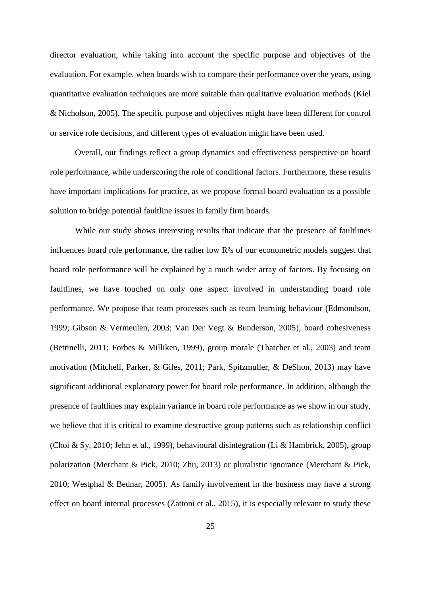director evaluation, while taking into account the specific purpose and objectives of the evaluation. For example, when boards wish to compare their performance over the years, using quantitative evaluation techniques are more suitable than qualitative evaluation methods (Kiel & Nicholson, 2005). The specific purpose and objectives might have been different for control or service role decisions, and different types of evaluation might have been used.

Overall, our findings reflect a group dynamics and effectiveness perspective on board role performance, while underscoring the role of conditional factors. Furthermore, these results have important implications for practice, as we propose formal board evaluation as a possible solution to bridge potential faultline issues in family firm boards.

While our study shows interesting results that indicate that the presence of faultlines influences board role performance, the rather low R²s of our econometric models suggest that board role performance will be explained by a much wider array of factors. By focusing on faultlines, we have touched on only one aspect involved in understanding board role performance. We propose that team processes such as team learning behaviour (Edmondson, 1999; Gibson & Vermeulen, 2003; Van Der Vegt & Bunderson, 2005), board cohesiveness (Bettinelli, 2011; Forbes & Milliken, 1999), group morale (Thatcher et al., 2003) and team motivation (Mitchell, Parker, & Giles, 2011; Park, Spitzmuller, & DeShon, 2013) may have significant additional explanatory power for board role performance. In addition, although the presence of faultlines may explain variance in board role performance as we show in our study, we believe that it is critical to examine destructive group patterns such as relationship conflict (Choi & Sy, 2010; Jehn et al., 1999), behavioural disintegration (Li & Hambrick, 2005), group polarization (Merchant & Pick, 2010; Zhu, 2013) or pluralistic ignorance (Merchant & Pick, 2010; Westphal & Bednar, 2005). As family involvement in the business may have a strong effect on board internal processes (Zattoni et al., 2015), it is especially relevant to study these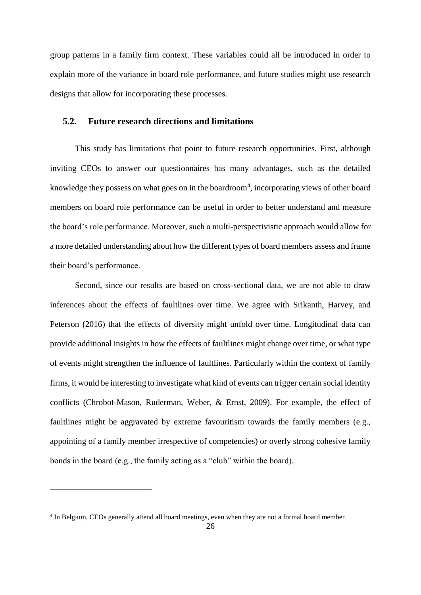group patterns in a family firm context. These variables could all be introduced in order to explain more of the variance in board role performance, and future studies might use research designs that allow for incorporating these processes.

# **5.2. Future research directions and limitations**

This study has limitations that point to future research opportunities. First, although inviting CEOs to answer our questionnaires has many advantages, such as the detailed knowledge they possess on what goes on in the boardroom<sup>4</sup>, incorporating views of other board members on board role performance can be useful in order to better understand and measure the board's role performance. Moreover, such a multi-perspectivistic approach would allow for a more detailed understanding about how the different types of board members assess and frame their board's performance.

Second, since our results are based on cross-sectional data, we are not able to draw inferences about the effects of faultlines over time. We agree with Srikanth, Harvey, and Peterson (2016) that the effects of diversity might unfold over time. Longitudinal data can provide additional insights in how the effects of faultlines might change over time, or what type of events might strengthen the influence of faultlines. Particularly within the context of family firms, it would be interesting to investigate what kind of events can trigger certain social identity conflicts (Chrobot-Mason, Ruderman, Weber, & Ernst, 2009). For example, the effect of faultlines might be aggravated by extreme favouritism towards the family members (e.g., appointing of a family member irrespective of competencies) or overly strong cohesive family bonds in the board (e.g., the family acting as a "club" within the board).

1

<sup>4</sup> In Belgium, CEOs generally attend all board meetings, even when they are not a formal board member.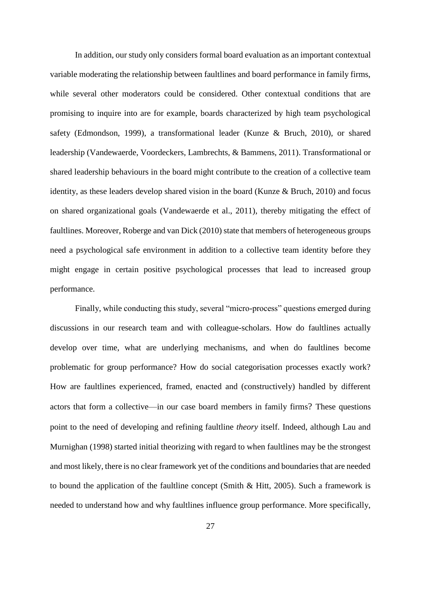In addition, our study only considers formal board evaluation as an important contextual variable moderating the relationship between faultlines and board performance in family firms, while several other moderators could be considered. Other contextual conditions that are promising to inquire into are for example, boards characterized by high team psychological safety (Edmondson, 1999), a transformational leader (Kunze & Bruch, 2010), or shared leadership (Vandewaerde, Voordeckers, Lambrechts, & Bammens, 2011). Transformational or shared leadership behaviours in the board might contribute to the creation of a collective team identity, as these leaders develop shared vision in the board (Kunze & Bruch, 2010) and focus on shared organizational goals (Vandewaerde et al., 2011), thereby mitigating the effect of faultlines. Moreover, Roberge and van Dick (2010) state that members of heterogeneous groups need a psychological safe environment in addition to a collective team identity before they might engage in certain positive psychological processes that lead to increased group performance.

Finally, while conducting this study, several "micro-process" questions emerged during discussions in our research team and with colleague-scholars. How do faultlines actually develop over time, what are underlying mechanisms, and when do faultlines become problematic for group performance? How do social categorisation processes exactly work? How are faultlines experienced, framed, enacted and (constructively) handled by different actors that form a collective—in our case board members in family firms? These questions point to the need of developing and refining faultline *theory* itself. Indeed, although Lau and Murnighan (1998) started initial theorizing with regard to when faultlines may be the strongest and most likely, there is no clear framework yet of the conditions and boundaries that are needed to bound the application of the faultline concept (Smith & Hitt, 2005). Such a framework is needed to understand how and why faultlines influence group performance. More specifically,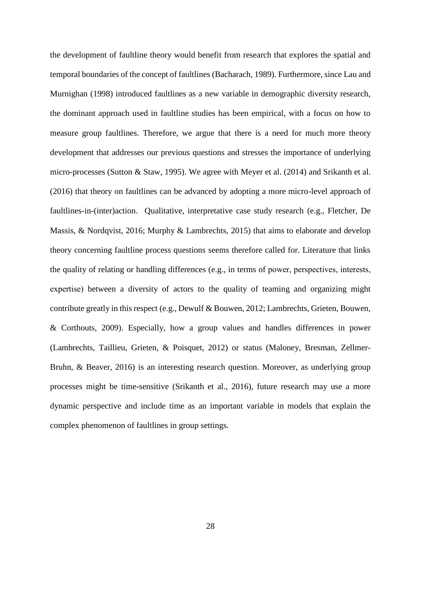the development of faultline theory would benefit from research that explores the spatial and temporal boundaries of the concept of faultlines (Bacharach, 1989). Furthermore, since Lau and Murnighan (1998) introduced faultlines as a new variable in demographic diversity research, the dominant approach used in faultline studies has been empirical, with a focus on how to measure group faultlines. Therefore, we argue that there is a need for much more theory development that addresses our previous questions and stresses the importance of underlying micro-processes (Sutton & Staw, 1995). We agree with Meyer et al. (2014) and Srikanth et al. (2016) that theory on faultlines can be advanced by adopting a more micro-level approach of faultlines-in-(inter)action. Qualitative, interpretative case study research (e.g., Fletcher, De Massis, & Nordqvist, 2016; Murphy & Lambrechts, 2015) that aims to elaborate and develop theory concerning faultline process questions seems therefore called for. Literature that links the quality of relating or handling differences (e.g., in terms of power, perspectives, interests, expertise) between a diversity of actors to the quality of teaming and organizing might contribute greatly in this respect (e.g., Dewulf & Bouwen, 2012; Lambrechts, Grieten, Bouwen, & Corthouts, 2009). Especially, how a group values and handles differences in power (Lambrechts, Taillieu, Grieten, & Poisquet, 2012) or status (Maloney, Bresman, Zellmer-Bruhn, & Beaver, 2016) is an interesting research question. Moreover, as underlying group processes might be time-sensitive (Srikanth et al., 2016), future research may use a more dynamic perspective and include time as an important variable in models that explain the complex phenomenon of faultlines in group settings.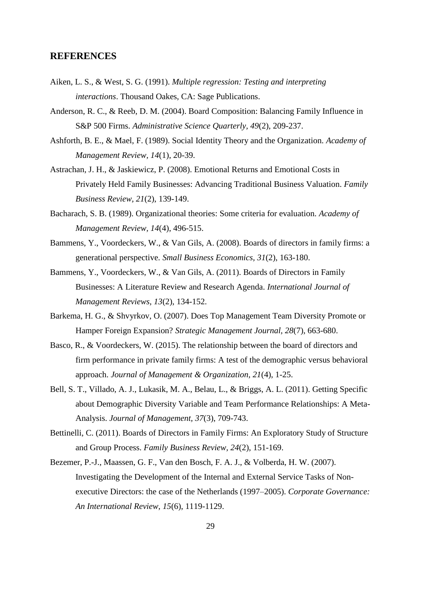# **REFERENCES**

- Aiken, L. S., & West, S. G. (1991). *Multiple regression: Testing and interpreting interactions*. Thousand Oakes, CA: Sage Publications.
- Anderson, R. C., & Reeb, D. M. (2004). Board Composition: Balancing Family Influence in S&P 500 Firms. *Administrative Science Quarterly, 49*(2), 209-237.
- Ashforth, B. E., & Mael, F. (1989). Social Identity Theory and the Organization. *Academy of Management Review, 14*(1), 20-39.
- Astrachan, J. H., & Jaskiewicz, P. (2008). Emotional Returns and Emotional Costs in Privately Held Family Businesses: Advancing Traditional Business Valuation. *Family Business Review, 21*(2), 139-149.
- Bacharach, S. B. (1989). Organizational theories: Some criteria for evaluation. *Academy of Management Review, 14*(4), 496-515.
- Bammens, Y., Voordeckers, W., & Van Gils, A. (2008). Boards of directors in family firms: a generational perspective. *Small Business Economics, 31*(2), 163-180.
- Bammens, Y., Voordeckers, W., & Van Gils, A. (2011). Boards of Directors in Family Businesses: A Literature Review and Research Agenda. *International Journal of Management Reviews, 13*(2), 134-152.
- Barkema, H. G., & Shvyrkov, O. (2007). Does Top Management Team Diversity Promote or Hamper Foreign Expansion? *Strategic Management Journal, 28*(7), 663-680.
- Basco, R., & Voordeckers, W. (2015). The relationship between the board of directors and firm performance in private family firms: A test of the demographic versus behavioral approach. *Journal of Management & Organization, 21*(4), 1-25.
- Bell, S. T., Villado, A. J., Lukasik, M. A., Belau, L., & Briggs, A. L. (2011). Getting Specific about Demographic Diversity Variable and Team Performance Relationships: A Meta-Analysis. *Journal of Management, 37*(3), 709-743.
- Bettinelli, C. (2011). Boards of Directors in Family Firms: An Exploratory Study of Structure and Group Process. *Family Business Review, 24*(2), 151-169.
- Bezemer, P.-J., Maassen, G. F., Van den Bosch, F. A. J., & Volberda, H. W. (2007). Investigating the Development of the Internal and External Service Tasks of Nonexecutive Directors: the case of the Netherlands (1997–2005). *Corporate Governance: An International Review, 15*(6), 1119-1129.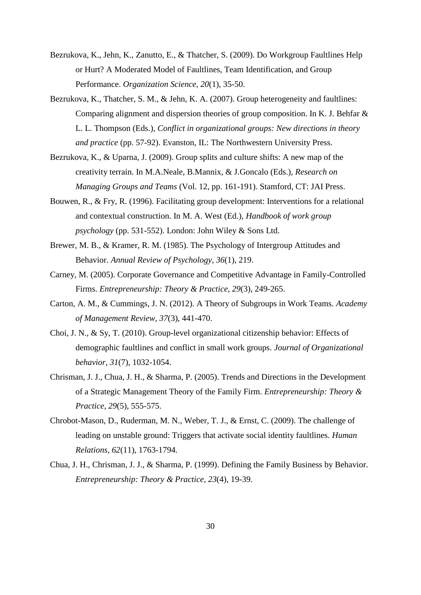- Bezrukova, K., Jehn, K., Zanutto, E., & Thatcher, S. (2009). Do Workgroup Faultlines Help or Hurt? A Moderated Model of Faultlines, Team Identification, and Group Performance. *Organization Science, 20*(1), 35-50.
- Bezrukova, K., Thatcher, S. M., & Jehn, K. A. (2007). Group heterogeneity and faultlines: Comparing alignment and dispersion theories of group composition. In K. J. Behfar & L. L. Thompson (Eds.), *Conflict in organizational groups: New directions in theory and practice* (pp. 57-92). Evanston, IL: The Northwestern University Press.
- Bezrukova, K., & Uparna, J. (2009). Group splits and culture shifts: A new map of the creativity terrain. In M.A.Neale, B.Mannix, & J.Goncalo (Eds.), *Research on Managing Groups and Teams* (Vol. 12, pp. 161-191). Stamford, CT: JAI Press.
- Bouwen, R., & Fry, R. (1996). Facilitating group development: Interventions for a relational and contextual construction. In M. A. West (Ed.), *Handbook of work group psychology* (pp. 531-552). London: John Wiley & Sons Ltd.
- Brewer, M. B., & Kramer, R. M. (1985). The Psychology of Intergroup Attitudes and Behavior. *Annual Review of Psychology, 36*(1), 219.
- Carney, M. (2005). Corporate Governance and Competitive Advantage in Family-Controlled Firms. *Entrepreneurship: Theory & Practice, 29*(3), 249-265.
- Carton, A. M., & Cummings, J. N. (2012). A Theory of Subgroups in Work Teams. *Academy of Management Review, 37*(3), 441-470.
- Choi, J. N., & Sy, T. (2010). Group-level organizational citizenship behavior: Effects of demographic faultlines and conflict in small work groups. *Journal of Organizational behavior, 31*(7), 1032-1054.
- Chrisman, J. J., Chua, J. H., & Sharma, P. (2005). Trends and Directions in the Development of a Strategic Management Theory of the Family Firm. *Entrepreneurship: Theory & Practice, 29*(5), 555-575.
- Chrobot-Mason, D., Ruderman, M. N., Weber, T. J., & Ernst, C. (2009). The challenge of leading on unstable ground: Triggers that activate social identity faultlines. *Human Relations, 62*(11), 1763-1794.
- Chua, J. H., Chrisman, J. J., & Sharma, P. (1999). Defining the Family Business by Behavior. *Entrepreneurship: Theory & Practice, 23*(4), 19-39.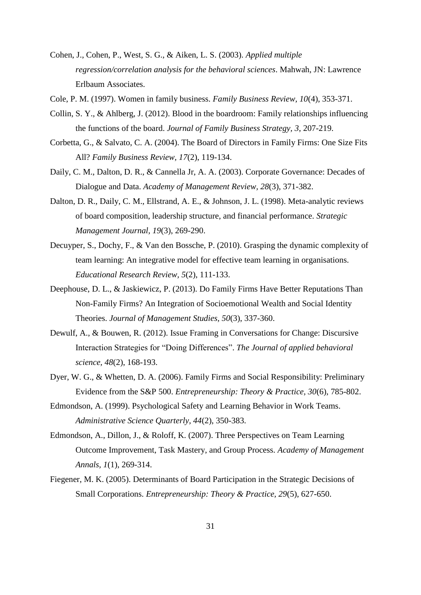- Cohen, J., Cohen, P., West, S. G., & Aiken, L. S. (2003). *Applied multiple regression/correlation analysis for the behavioral sciences*. Mahwah, JN: Lawrence Erlbaum Associates.
- Cole, P. M. (1997). Women in family business. *Family Business Review, 10*(4), 353-371.
- Collin, S. Y., & Ahlberg, J. (2012). Blood in the boardroom: Family relationships influencing the functions of the board. *Journal of Family Business Strategy, 3*, 207-219.
- Corbetta, G., & Salvato, C. A. (2004). The Board of Directors in Family Firms: One Size Fits All? *Family Business Review, 17*(2), 119-134.
- Daily, C. M., Dalton, D. R., & Cannella Jr, A. A. (2003). Corporate Governance: Decades of Dialogue and Data. *Academy of Management Review, 28*(3), 371-382.
- Dalton, D. R., Daily, C. M., Ellstrand, A. E., & Johnson, J. L. (1998). Meta-analytic reviews of board composition, leadership structure, and financial performance. *Strategic Management Journal, 19*(3), 269-290.
- Decuyper, S., Dochy, F., & Van den Bossche, P. (2010). Grasping the dynamic complexity of team learning: An integrative model for effective team learning in organisations. *Educational Research Review, 5*(2), 111-133.
- Deephouse, D. L., & Jaskiewicz, P. (2013). Do Family Firms Have Better Reputations Than Non-Family Firms? An Integration of Socioemotional Wealth and Social Identity Theories. *Journal of Management Studies, 50*(3), 337-360.
- Dewulf, A., & Bouwen, R. (2012). Issue Framing in Conversations for Change: Discursive Interaction Strategies for "Doing Differences". *The Journal of applied behavioral science, 48*(2), 168-193.
- Dyer, W. G., & Whetten, D. A. (2006). Family Firms and Social Responsibility: Preliminary Evidence from the S&P 500. *Entrepreneurship: Theory & Practice, 30*(6), 785-802.
- Edmondson, A. (1999). Psychological Safety and Learning Behavior in Work Teams. *Administrative Science Quarterly, 44*(2), 350-383.
- Edmondson, A., Dillon, J., & Roloff, K. (2007). Three Perspectives on Team Learning Outcome Improvement, Task Mastery, and Group Process. *Academy of Management Annals, 1*(1), 269-314.
- Fiegener, M. K. (2005). Determinants of Board Participation in the Strategic Decisions of Small Corporations. *Entrepreneurship: Theory & Practice, 29*(5), 627-650.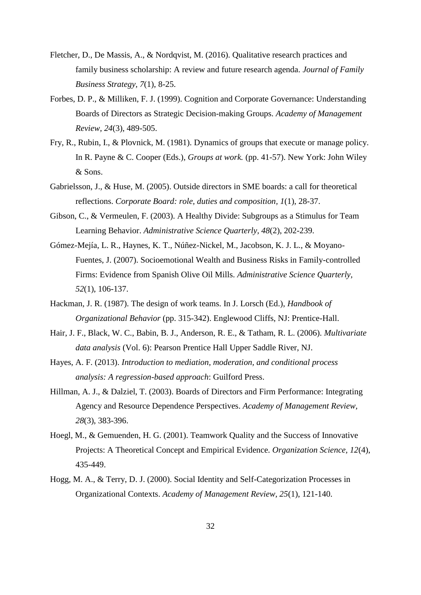- Fletcher, D., De Massis, A., & Nordqvist, M. (2016). Qualitative research practices and family business scholarship: A review and future research agenda. *Journal of Family Business Strategy, 7*(1), 8-25.
- Forbes, D. P., & Milliken, F. J. (1999). Cognition and Corporate Governance: Understanding Boards of Directors as Strategic Decision-making Groups. *Academy of Management Review, 24*(3), 489-505.
- Fry, R., Rubin, I., & Plovnick, M. (1981). Dynamics of groups that execute or manage policy. In R. Payne & C. Cooper (Eds.), *Groups at work.* (pp. 41-57). New York: John Wiley & Sons.
- Gabrielsson, J., & Huse, M. (2005). Outside directors in SME boards: a call for theoretical reflections. *Corporate Board: role, duties and composition, 1*(1), 28-37.
- Gibson, C., & Vermeulen, F. (2003). A Healthy Divide: Subgroups as a Stimulus for Team Learning Behavior. *Administrative Science Quarterly, 48*(2), 202-239.
- Gómez-Mejía, L. R., Haynes, K. T., Núñez-Nickel, M., Jacobson, K. J. L., & Moyano-Fuentes, J. (2007). Socioemotional Wealth and Business Risks in Family-controlled Firms: Evidence from Spanish Olive Oil Mills. *Administrative Science Quarterly, 52*(1), 106-137.
- Hackman, J. R. (1987). The design of work teams. In J. Lorsch (Ed.), *Handbook of Organizational Behavior* (pp. 315-342). Englewood Cliffs, NJ: Prentice-Hall.
- Hair, J. F., Black, W. C., Babin, B. J., Anderson, R. E., & Tatham, R. L. (2006). *Multivariate data analysis* (Vol. 6): Pearson Prentice Hall Upper Saddle River, NJ.
- Hayes, A. F. (2013). *Introduction to mediation, moderation, and conditional process analysis: A regression-based approach*: Guilford Press.
- Hillman, A. J., & Dalziel, T. (2003). Boards of Directors and Firm Performance: Integrating Agency and Resource Dependence Perspectives. *Academy of Management Review, 28*(3), 383-396.
- Hoegl, M., & Gemuenden, H. G. (2001). Teamwork Quality and the Success of Innovative Projects: A Theoretical Concept and Empirical Evidence. *Organization Science, 12*(4), 435-449.
- Hogg, M. A., & Terry, D. J. (2000). Social Identity and Self-Categorization Processes in Organizational Contexts. *Academy of Management Review, 25*(1), 121-140.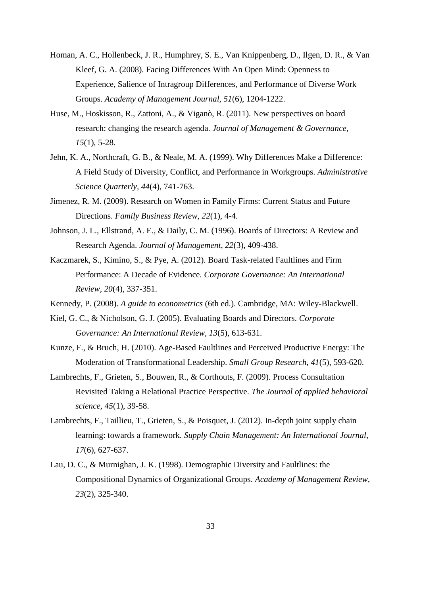- Homan, A. C., Hollenbeck, J. R., Humphrey, S. E., Van Knippenberg, D., Ilgen, D. R., & Van Kleef, G. A. (2008). Facing Differences With An Open Mind: Openness to Experience, Salience of Intragroup Differences, and Performance of Diverse Work Groups. *Academy of Management Journal, 51*(6), 1204-1222.
- Huse, M., Hoskisson, R., Zattoni, A., & Viganò, R. (2011). New perspectives on board research: changing the research agenda. *Journal of Management & Governance, 15*(1), 5-28.
- Jehn, K. A., Northcraft, G. B., & Neale, M. A. (1999). Why Differences Make a Difference: A Field Study of Diversity, Conflict, and Performance in Workgroups. *Administrative Science Quarterly, 44*(4), 741-763.
- Jimenez, R. M. (2009). Research on Women in Family Firms: Current Status and Future Directions. *Family Business Review, 22*(1), 4-4.
- Johnson, J. L., Ellstrand, A. E., & Daily, C. M. (1996). Boards of Directors: A Review and Research Agenda. *Journal of Management, 22*(3), 409-438.
- Kaczmarek, S., Kimino, S., & Pye, A. (2012). Board Task-related Faultlines and Firm Performance: A Decade of Evidence. *Corporate Governance: An International Review, 20*(4), 337-351.
- Kennedy, P. (2008). *A guide to econometrics* (6th ed.). Cambridge, MA: Wiley-Blackwell.
- Kiel, G. C., & Nicholson, G. J. (2005). Evaluating Boards and Directors. *Corporate Governance: An International Review, 13*(5), 613-631.
- Kunze, F., & Bruch, H. (2010). Age-Based Faultlines and Perceived Productive Energy: The Moderation of Transformational Leadership. *Small Group Research, 41*(5), 593-620.
- Lambrechts, F., Grieten, S., Bouwen, R., & Corthouts, F. (2009). Process Consultation Revisited Taking a Relational Practice Perspective. *The Journal of applied behavioral science, 45*(1), 39-58.
- Lambrechts, F., Taillieu, T., Grieten, S., & Poisquet, J. (2012). In-depth joint supply chain learning: towards a framework. *Supply Chain Management: An International Journal, 17*(6), 627-637.
- Lau, D. C., & Murnighan, J. K. (1998). Demographic Diversity and Faultlines: the Compositional Dynamics of Organizational Groups. *Academy of Management Review, 23*(2), 325-340.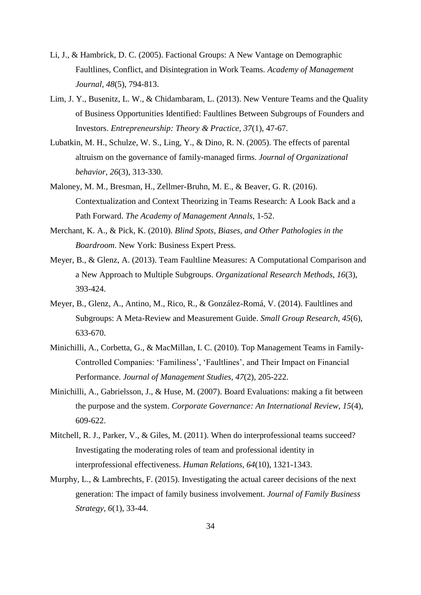- Li, J., & Hambrick, D. C. (2005). Factional Groups: A New Vantage on Demographic Faultlines, Conflict, and Disintegration in Work Teams. *Academy of Management Journal, 48*(5), 794-813.
- Lim, J. Y., Busenitz, L. W., & Chidambaram, L. (2013). New Venture Teams and the Quality of Business Opportunities Identified: Faultlines Between Subgroups of Founders and Investors. *Entrepreneurship: Theory & Practice, 37*(1), 47-67.
- Lubatkin, M. H., Schulze, W. S., Ling, Y., & Dino, R. N. (2005). The effects of parental altruism on the governance of family-managed firms. *Journal of Organizational behavior, 26*(3), 313-330.
- Maloney, M. M., Bresman, H., Zellmer-Bruhn, M. E., & Beaver, G. R. (2016). Contextualization and Context Theorizing in Teams Research: A Look Back and a Path Forward. *The Academy of Management Annals*, 1-52.
- Merchant, K. A., & Pick, K. (2010). *Blind Spots, Biases, and Other Pathologies in the Boardroom*. New York: Business Expert Press.
- Meyer, B., & Glenz, A. (2013). Team Faultline Measures: A Computational Comparison and a New Approach to Multiple Subgroups. *Organizational Research Methods, 16*(3), 393-424.
- Meyer, B., Glenz, A., Antino, M., Rico, R., & González-Romá, V. (2014). Faultlines and Subgroups: A Meta-Review and Measurement Guide. *Small Group Research, 45*(6), 633-670.
- Minichilli, A., Corbetta, G., & MacMillan, I. C. (2010). Top Management Teams in Family-Controlled Companies: 'Familiness', 'Faultlines', and Their Impact on Financial Performance. *Journal of Management Studies, 47*(2), 205-222.
- Minichilli, A., Gabrielsson, J., & Huse, M. (2007). Board Evaluations: making a fit between the purpose and the system. *Corporate Governance: An International Review, 15*(4), 609-622.
- Mitchell, R. J., Parker, V., & Giles, M. (2011). When do interprofessional teams succeed? Investigating the moderating roles of team and professional identity in interprofessional effectiveness. *Human Relations, 64*(10), 1321-1343.
- Murphy, L., & Lambrechts, F. (2015). Investigating the actual career decisions of the next generation: The impact of family business involvement. *Journal of Family Business Strategy, 6*(1), 33-44.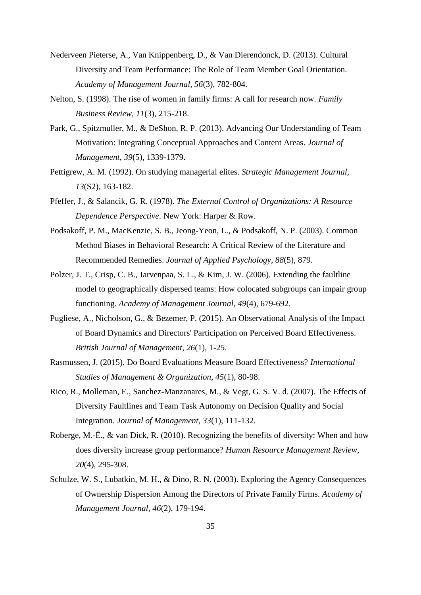- Nederveen Pieterse, A., Van Knippenberg, D., & Van Dierendonck, D. (2013). Cultural Diversity and Team Performance: The Role of Team Member Goal Orientation. *Academy of Management Journal, 56*(3), 782-804.
- Nelton, S. (1998). The rise of women in family firms: A call for research now. *Family Business Review, 11*(3), 215-218.
- Park, G., Spitzmuller, M., & DeShon, R. P. (2013). Advancing Our Understanding of Team Motivation: Integrating Conceptual Approaches and Content Areas. *Journal of Management, 39*(5), 1339-1379.
- Pettigrew, A. M. (1992). On studying managerial elites. *Strategic Management Journal, 13*(S2), 163-182.
- Pfeffer, J., & Salancik, G. R. (1978). *The External Control of Organizations: A Resource Dependence Perspective*. New York: Harper & Row.
- Podsakoff, P. M., MacKenzie, S. B., Jeong-Yeon, L., & Podsakoff, N. P. (2003). Common Method Biases in Behavioral Research: A Critical Review of the Literature and Recommended Remedies. *Journal of Applied Psychology, 88*(5), 879.
- Polzer, J. T., Crisp, C. B., Jarvenpaa, S. L., & Kim, J. W. (2006). Extending the faultline model to geographically dispersed teams: How colocated subgroups can impair group functioning. *Academy of Management Journal, 49*(4), 679-692.
- Pugliese, A., Nicholson, G., & Bezemer, P. (2015). An Observational Analysis of the Impact of Board Dynamics and Directors' Participation on Perceived Board Effectiveness. *British Journal of Management, 26*(1), 1-25.
- Rasmussen, J. (2015). Do Board Evaluations Measure Board Effectiveness? *International Studies of Management & Organization, 45*(1), 80-98.
- Rico, R., Molleman, E., Sanchez-Manzanares, M., & Vegt, G. S. V. d. (2007). The Effects of Diversity Faultlines and Team Task Autonomy on Decision Quality and Social Integration. *Journal of Management, 33*(1), 111-132.
- Roberge, M.-É., & van Dick, R. (2010). Recognizing the benefits of diversity: When and how does diversity increase group performance? *Human Resource Management Review, 20*(4), 295-308.
- Schulze, W. S., Lubatkin, M. H., & Dino, R. N. (2003). Exploring the Agency Consequences of Ownership Dispersion Among the Directors of Private Family Firms. *Academy of Management Journal, 46*(2), 179-194.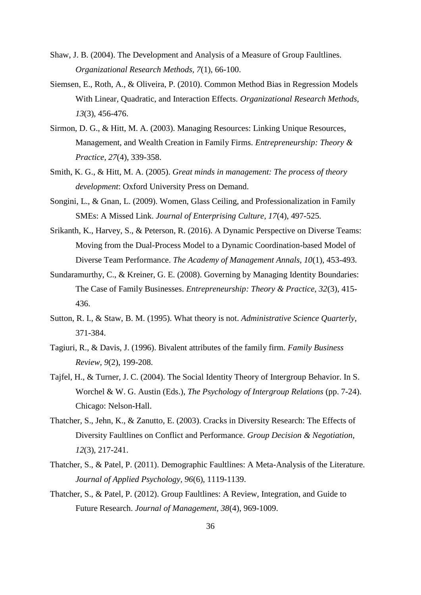- Shaw, J. B. (2004). The Development and Analysis of a Measure of Group Faultlines. *Organizational Research Methods, 7*(1), 66-100.
- Siemsen, E., Roth, A., & Oliveira, P. (2010). Common Method Bias in Regression Models With Linear, Quadratic, and Interaction Effects. *Organizational Research Methods, 13*(3), 456-476.
- Sirmon, D. G., & Hitt, M. A. (2003). Managing Resources: Linking Unique Resources, Management, and Wealth Creation in Family Firms. *Entrepreneurship: Theory & Practice, 27*(4), 339-358.
- Smith, K. G., & Hitt, M. A. (2005). *Great minds in management: The process of theory development*: Oxford University Press on Demand.
- Songini, L., & Gnan, L. (2009). Women, Glass Ceiling, and Professionalization in Family SMEs: A Missed Link. *Journal of Enterprising Culture, 17*(4), 497-525.
- Srikanth, K., Harvey, S., & Peterson, R. (2016). A Dynamic Perspective on Diverse Teams: Moving from the Dual-Process Model to a Dynamic Coordination-based Model of Diverse Team Performance. *The Academy of Management Annals, 10*(1), 453-493.
- Sundaramurthy, C., & Kreiner, G. E. (2008). Governing by Managing Identity Boundaries: The Case of Family Businesses. *Entrepreneurship: Theory & Practice, 32*(3), 415- 436.
- Sutton, R. I., & Staw, B. M. (1995). What theory is not. *Administrative Science Quarterly*, 371-384.
- Tagiuri, R., & Davis, J. (1996). Bivalent attributes of the family firm. *Family Business Review, 9*(2), 199-208.
- Tajfel, H., & Turner, J. C. (2004). The Social Identity Theory of Intergroup Behavior. In S. Worchel & W. G. Austin (Eds.), *The Psychology of Intergroup Relations* (pp. 7-24). Chicago: Nelson-Hall.
- Thatcher, S., Jehn, K., & Zanutto, E. (2003). Cracks in Diversity Research: The Effects of Diversity Faultlines on Conflict and Performance. *Group Decision & Negotiation, 12*(3), 217-241.
- Thatcher, S., & Patel, P. (2011). Demographic Faultlines: A Meta-Analysis of the Literature. *Journal of Applied Psychology, 96*(6), 1119-1139.
- Thatcher, S., & Patel, P. (2012). Group Faultlines: A Review, Integration, and Guide to Future Research. *Journal of Management, 38*(4), 969-1009.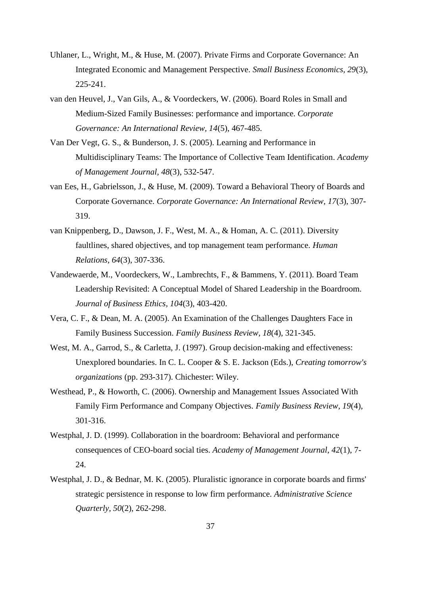- Uhlaner, L., Wright, M., & Huse, M. (2007). Private Firms and Corporate Governance: An Integrated Economic and Management Perspective. *Small Business Economics, 29*(3), 225-241.
- van den Heuvel, J., Van Gils, A., & Voordeckers, W. (2006). Board Roles in Small and Medium-Sized Family Businesses: performance and importance. *Corporate Governance: An International Review, 14*(5), 467-485.
- Van Der Vegt, G. S., & Bunderson, J. S. (2005). Learning and Performance in Multidisciplinary Teams: The Importance of Collective Team Identification. *Academy of Management Journal, 48*(3), 532-547.
- van Ees, H., Gabrielsson, J., & Huse, M. (2009). Toward a Behavioral Theory of Boards and Corporate Governance. *Corporate Governance: An International Review, 17*(3), 307- 319.
- van Knippenberg, D., Dawson, J. F., West, M. A., & Homan, A. C. (2011). Diversity faultlines, shared objectives, and top management team performance. *Human Relations, 64*(3), 307-336.
- Vandewaerde, M., Voordeckers, W., Lambrechts, F., & Bammens, Y. (2011). Board Team Leadership Revisited: A Conceptual Model of Shared Leadership in the Boardroom. *Journal of Business Ethics, 104*(3), 403-420.
- Vera, C. F., & Dean, M. A. (2005). An Examination of the Challenges Daughters Face in Family Business Succession. *Family Business Review, 18*(4), 321-345.
- West, M. A., Garrod, S., & Carletta, J. (1997). Group decision-making and effectiveness: Unexplored boundaries. In C. L. Cooper & S. E. Jackson (Eds.), *Creating tomorrow's organizations* (pp. 293-317). Chichester: Wiley.
- Westhead, P., & Howorth, C. (2006). Ownership and Management Issues Associated With Family Firm Performance and Company Objectives. *Family Business Review, 19*(4), 301-316.
- Westphal, J. D. (1999). Collaboration in the boardroom: Behavioral and performance consequences of CEO-board social ties. *Academy of Management Journal, 42*(1), 7- 24.
- Westphal, J. D., & Bednar, M. K. (2005). Pluralistic ignorance in corporate boards and firms' strategic persistence in response to low firm performance. *Administrative Science Quarterly, 50*(2), 262-298.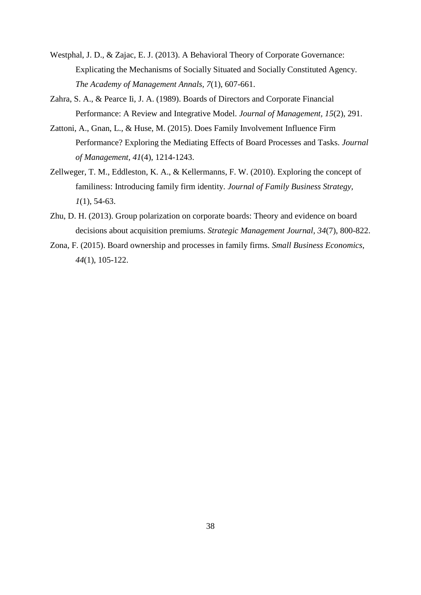- Westphal, J. D., & Zajac, E. J. (2013). A Behavioral Theory of Corporate Governance: Explicating the Mechanisms of Socially Situated and Socially Constituted Agency. *The Academy of Management Annals, 7*(1), 607-661.
- Zahra, S. A., & Pearce Ii, J. A. (1989). Boards of Directors and Corporate Financial Performance: A Review and Integrative Model. *Journal of Management, 15*(2), 291.
- Zattoni, A., Gnan, L., & Huse, M. (2015). Does Family Involvement Influence Firm Performance? Exploring the Mediating Effects of Board Processes and Tasks. *Journal of Management, 41*(4), 1214-1243.
- Zellweger, T. M., Eddleston, K. A., & Kellermanns, F. W. (2010). Exploring the concept of familiness: Introducing family firm identity. *Journal of Family Business Strategy, 1*(1), 54-63.
- Zhu, D. H. (2013). Group polarization on corporate boards: Theory and evidence on board decisions about acquisition premiums. *Strategic Management Journal, 34*(7), 800-822.
- Zona, F. (2015). Board ownership and processes in family firms. *Small Business Economics, 44*(1), 105-122.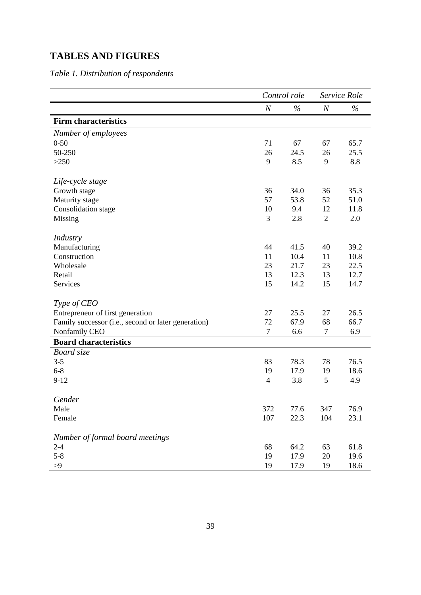# **TABLES AND FIGURES**

*Table 1. Distribution of respondents*

|                                                     |                  | Control role | Service Role     |      |
|-----------------------------------------------------|------------------|--------------|------------------|------|
|                                                     | $\boldsymbol{N}$ | $\%$         | $\boldsymbol{N}$ | $\%$ |
| <b>Firm characteristics</b>                         |                  |              |                  |      |
| Number of employees                                 |                  |              |                  |      |
| $0 - 50$                                            | 71               | 67           | 67               | 65.7 |
| 50-250                                              | 26               | 24.5         | 26               | 25.5 |
| >250                                                | 9                | 8.5          | 9                | 8.8  |
| Life-cycle stage                                    |                  |              |                  |      |
| Growth stage                                        | 36               | 34.0         | 36               | 35.3 |
| Maturity stage                                      | 57               | 53.8         | 52               | 51.0 |
| Consolidation stage                                 | 10               | 9.4          | 12               | 11.8 |
| Missing                                             | 3                | 2.8          | $\overline{2}$   | 2.0  |
| <b>Industry</b>                                     |                  |              |                  |      |
| Manufacturing                                       | 44               | 41.5         | 40               | 39.2 |
| Construction                                        | 11               | 10.4         | 11               | 10.8 |
| Wholesale                                           | 23               | 21.7         | 23               | 22.5 |
| Retail                                              | 13               | 12.3         | 13               | 12.7 |
| <b>Services</b>                                     | 15               | 14.2         | 15               | 14.7 |
| Type of CEO                                         |                  |              |                  |      |
| Entrepreneur of first generation                    | 27               | 25.5         | 27               | 26.5 |
| Family successor (i.e., second or later generation) | 72               | 67.9         | 68               | 66.7 |
| Nonfamily CEO                                       | $\tau$           | 6.6          | 7                | 6.9  |
| <b>Board characteristics</b>                        |                  |              |                  |      |
| Board size                                          |                  |              |                  |      |
| $3 - 5$                                             | 83               | 78.3         | 78               | 76.5 |
| $6 - 8$                                             | 19               | 17.9         | 19               | 18.6 |
| $9-12$                                              | $\overline{4}$   | 3.8          | 5                | 4.9  |
| Gender                                              |                  |              |                  |      |
| Male                                                | 372              | 77.6         | 347              | 76.9 |
| Female                                              | 107              | 22.3         | 104              | 23.1 |
| Number of formal board meetings                     |                  |              |                  |      |
| $2 - 4$                                             | 68               | 64.2         | 63               | 61.8 |
| $5 - 8$                                             | 19               | 17.9         | 20               | 19.6 |
| >9                                                  | 19               | 17.9         | 19               | 18.6 |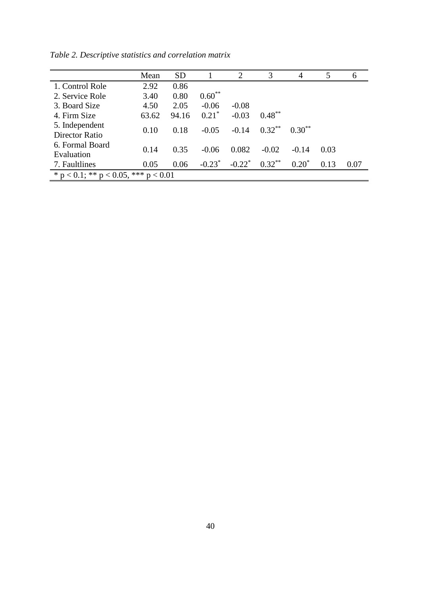|                                              | Mean  | <b>SD</b> |           | $\mathcal{D}_{\mathcal{L}}$ | 3         | 4           | 5    | 6    |
|----------------------------------------------|-------|-----------|-----------|-----------------------------|-----------|-------------|------|------|
| 1. Control Role                              | 2.92  | 0.86      |           |                             |           |             |      |      |
| 2. Service Role                              | 3.40  | 0.80      | $0.60**$  |                             |           |             |      |      |
| 3. Board Size                                | 4.50  | 2.05      | $-0.06$   | $-0.08$                     |           |             |      |      |
| 4. Firm Size                                 | 63.62 | 94.16     | $0.21^*$  | $-0.03$                     | $0.48***$ |             |      |      |
| 5. Independent                               | 0.10  | 0.18      | $-0.05$   | $-0.14$                     | $0.32***$ | $0.30^{**}$ |      |      |
| Director Ratio                               |       |           |           |                             |           |             |      |      |
| 6. Formal Board                              | 0.14  | 0.35      | $-0.06$   | 0.082<br>$-0.02$            |           | $-0.14$     | 0.03 |      |
| Evaluation                                   |       |           |           |                             |           |             |      |      |
| 7. Faultlines                                | 0.05  | 0.06      | $-0.23^*$ | $-0.22$ <sup>*</sup>        | $0.32***$ | $0.20^*$    | 0.13 | 0.07 |
| * $p < 0.1$ ; ** $p < 0.05$ , *** $p < 0.01$ |       |           |           |                             |           |             |      |      |

*Table 2. Descriptive statistics and correlation matrix*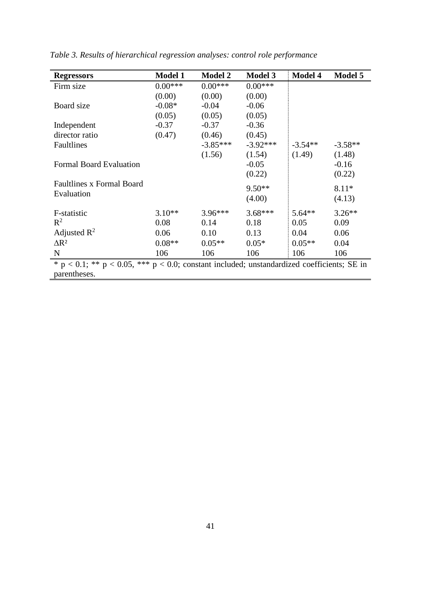| <b>Regressors</b>                                                                                   | <b>Model 1</b> | <b>Model 2</b> | <b>Model 3</b> | <b>Model 4</b> | <b>Model 5</b> |
|-----------------------------------------------------------------------------------------------------|----------------|----------------|----------------|----------------|----------------|
| Firm size                                                                                           | $0.00***$      | $0.00***$      | $0.00***$      |                |                |
|                                                                                                     | (0.00)         | (0.00)         | (0.00)         |                |                |
| Board size                                                                                          | $-0.08*$       | $-0.04$        | $-0.06$        |                |                |
|                                                                                                     | (0.05)         | (0.05)         | (0.05)         |                |                |
| Independent                                                                                         | $-0.37$        | $-0.37$        | $-0.36$        |                |                |
| director ratio                                                                                      | (0.47)         | (0.46)         | (0.45)         |                |                |
| Faultlines                                                                                          |                | $-3.85***$     | $-3.92***$     | $-3.54**$      | $-3.58**$      |
|                                                                                                     |                | (1.56)         | (1.54)         | (1.49)         | (1.48)         |
| <b>Formal Board Evaluation</b>                                                                      |                |                | $-0.05$        |                | $-0.16$        |
|                                                                                                     |                |                | (0.22)         |                | (0.22)         |
| <b>Faultlines x Formal Board</b>                                                                    |                |                | $9.50**$       |                | $8.11*$        |
| Evaluation                                                                                          |                |                | (4.00)         |                | (4.13)         |
|                                                                                                     |                |                |                |                |                |
| F-statistic                                                                                         | $3.10**$       | $3.96***$      | $3.68***$      | $5.64**$       | $3.26**$       |
| $R^2$                                                                                               | 0.08           | 0.14           | 0.18           | 0.05           | 0.09           |
| Adjusted $R^2$                                                                                      | 0.06           | 0.10           | 0.13           | 0.04           | 0.06           |
| $\Delta$ R <sup>2</sup>                                                                             | $0.08**$       | $0.05**$       | $0.05*$        | $0.05**$       | 0.04           |
| $\mathbf N$                                                                                         | 106            | 106            | 106            | 106            | 106            |
| $* p < 0.1$ ; ** $p < 0.05$ , *** $p < 0.0$ ; constant included; unstandardized coefficients; SE in |                |                |                |                |                |
| parentheses.                                                                                        |                |                |                |                |                |

*Table 3. Results of hierarchical regression analyses: control role performance*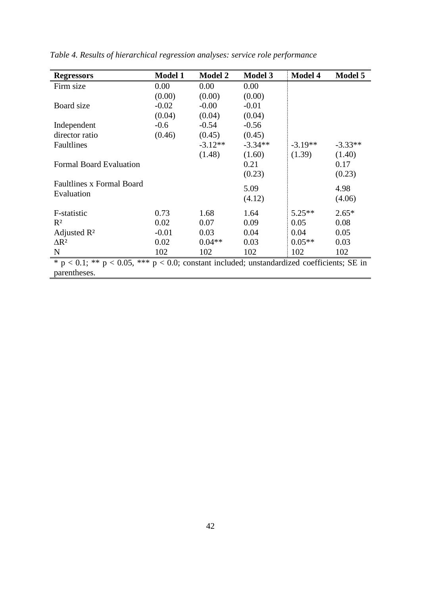| <b>Regressors</b>                                                                                   | <b>Model 1</b> | <b>Model 2</b> | <b>Model 3</b> | <b>Model 4</b> | Model 5   |
|-----------------------------------------------------------------------------------------------------|----------------|----------------|----------------|----------------|-----------|
| Firm size                                                                                           | 0.00           | 0.00           | 0.00           |                |           |
|                                                                                                     | (0.00)         | (0.00)         | (0.00)         |                |           |
| Board size                                                                                          | $-0.02$        | $-0.00$        | $-0.01$        |                |           |
|                                                                                                     | (0.04)         | (0.04)         | (0.04)         |                |           |
| Independent                                                                                         | $-0.6$         | $-0.54$        | $-0.56$        |                |           |
| director ratio                                                                                      | (0.46)         | (0.45)         | (0.45)         |                |           |
| Faultlines                                                                                          |                | $-3.12**$      | $-3.34**$      | $-3.19**$      | $-3.33**$ |
|                                                                                                     |                | (1.48)         | (1.60)         | (1.39)         | (1.40)    |
| <b>Formal Board Evaluation</b>                                                                      |                |                | 0.21           |                | 0.17      |
|                                                                                                     |                |                | (0.23)         |                | (0.23)    |
| <b>Faultlines x Formal Board</b>                                                                    |                |                | 5.09           |                | 4.98      |
| Evaluation                                                                                          |                |                | (4.12)         |                | (4.06)    |
|                                                                                                     |                |                |                |                |           |
| F-statistic                                                                                         | 0.73           | 1.68           | 1.64           | $5.25**$       | $2.65*$   |
| $R^2$                                                                                               | 0.02           | 0.07           | 0.09           | 0.05           | 0.08      |
| Adjusted $\mathbb{R}^2$                                                                             | $-0.01$        | 0.03           | 0.04           | 0.04           | 0.05      |
| $\Delta$ R <sup>2</sup>                                                                             | 0.02           | $0.04**$       | 0.03           | $0.05**$       | 0.03      |
| $\mathbf N$                                                                                         | 102            | 102            | 102            | 102            | 102       |
| $* p < 0.1$ ; ** $p < 0.05$ , *** $p < 0.0$ ; constant included; unstandardized coefficients; SE in |                |                |                |                |           |
| parentheses.                                                                                        |                |                |                |                |           |

*Table 4. Results of hierarchical regression analyses: service role performance*